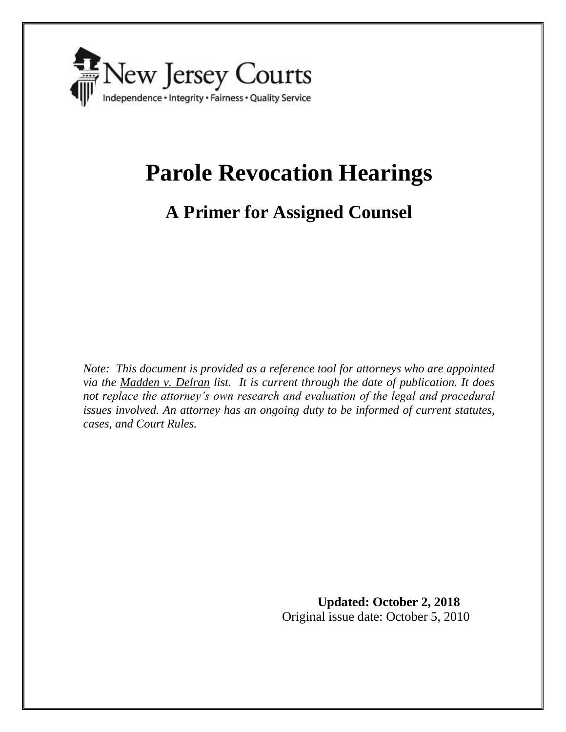

# **Parole Revocation Hearings**

# **A Primer for Assigned Counsel**

*Note: This document is provided as a reference tool for attorneys who are appointed via the Madden v. Delran list. It is current through the date of publication. It does not replace the attorney's own research and evaluation of the legal and procedural issues involved. An attorney has an ongoing duty to be informed of current statutes, cases, and Court Rules.* 

> **Updated: October 2, 2018** Original issue date: October 5, 2010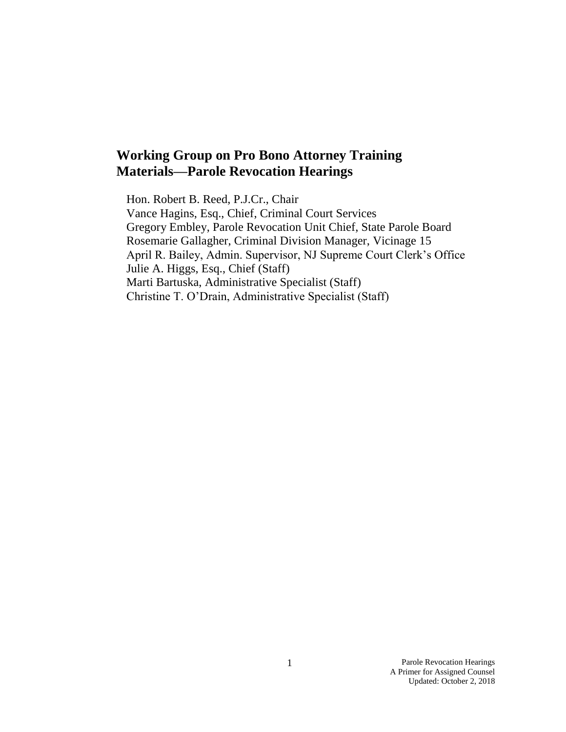# **Working Group on Pro Bono Attorney Training Materials—Parole Revocation Hearings**

Hon. Robert B. Reed, P.J.Cr., Chair Vance Hagins, Esq., Chief, Criminal Court Services Gregory Embley, Parole Revocation Unit Chief, State Parole Board Rosemarie Gallagher, Criminal Division Manager, Vicinage 15 April R. Bailey, Admin. Supervisor, NJ Supreme Court Clerk's Office Julie A. Higgs, Esq., Chief (Staff) Marti Bartuska, Administrative Specialist (Staff) Christine T. O'Drain, Administrative Specialist (Staff)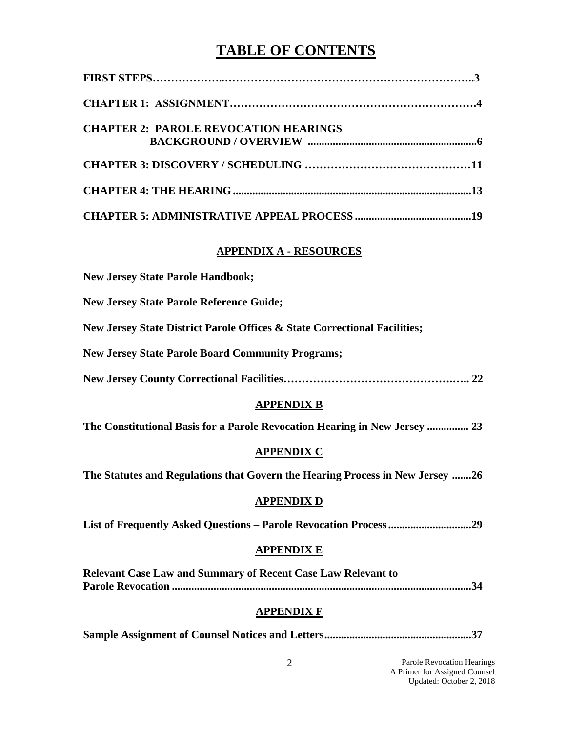# **TABLE OF CONTENTS**

| <b>CHAPTER 2: PAROLE REVOCATION HEARINGS</b>                                  |
|-------------------------------------------------------------------------------|
|                                                                               |
|                                                                               |
|                                                                               |
| <b>APPENDIX A - RESOURCES</b>                                                 |
| <b>New Jersey State Parole Handbook;</b>                                      |
| <b>New Jersey State Parole Reference Guide;</b>                               |
| New Jersey State District Parole Offices & State Correctional Facilities;     |
| <b>New Jersey State Parole Board Community Programs;</b>                      |
|                                                                               |
| <b>APPENDIX B</b>                                                             |
| The Constitutional Basis for a Parole Revocation Hearing in New Jersey  23    |
| <b>APPENDIX C</b>                                                             |
| The Statutes and Regulations that Govern the Hearing Process in New Jersey 26 |
| <b>APPENDIX D</b>                                                             |
|                                                                               |
| <b>APPENDIX E</b>                                                             |
| <b>Relevant Case Law and Summary of Recent Case Law Relevant to</b>           |
| <b>APPENDIX F</b>                                                             |
|                                                                               |
| Parole Revocation Hearings<br>$\overline{2}$<br>A Primer for Assigned Counsel |

Updated: October 2, 2018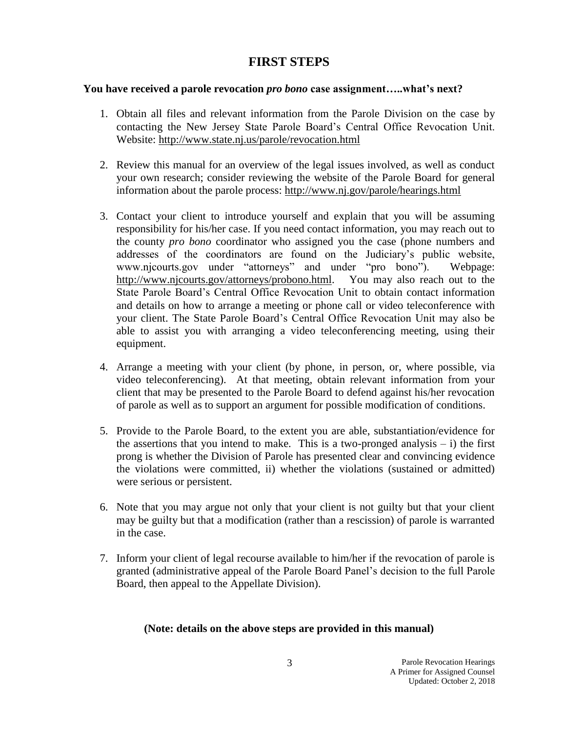### **FIRST STEPS**

### **You have received a parole revocation** *pro bono* **case assignment…..what's next?**

- 1. Obtain all files and relevant information from the Parole Division on the case by contacting the New Jersey State Parole Board's Central Office Revocation Unit. Website:<http://www.state.nj.us/parole/revocation.html>
- 2. Review this manual for an overview of the legal issues involved, as well as conduct your own research; consider reviewing the website of the Parole Board for general information about the parole process:<http://www.nj.gov/parole/hearings.html>
- 3. Contact your client to introduce yourself and explain that you will be assuming responsibility for his/her case. If you need contact information, you may reach out to the county *pro bono* coordinator who assigned you the case (phone numbers and addresses of the coordinators are found on the Judiciary's public website, www.njcourts.gov under "attorneys" and under "pro bono"). Webpage: [http://www.njcourts.gov/attorneys/probono.html.](http://www.njcourts.gov/attorneys/probono.html) You may also reach out to the State Parole Board's Central Office Revocation Unit to obtain contact information and details on how to arrange a meeting or phone call or video teleconference with your client. The State Parole Board's Central Office Revocation Unit may also be able to assist you with arranging a video teleconferencing meeting, using their equipment.
- 4. Arrange a meeting with your client (by phone, in person, or, where possible, via video teleconferencing). At that meeting, obtain relevant information from your client that may be presented to the Parole Board to defend against his/her revocation of parole as well as to support an argument for possible modification of conditions.
- 5. Provide to the Parole Board, to the extent you are able, substantiation/evidence for the assertions that you intend to make. This is a two-pronged analysis  $- i$ ) the first prong is whether the Division of Parole has presented clear and convincing evidence the violations were committed, ii) whether the violations (sustained or admitted) were serious or persistent.
- 6. Note that you may argue not only that your client is not guilty but that your client may be guilty but that a modification (rather than a rescission) of parole is warranted in the case.
- 7. Inform your client of legal recourse available to him/her if the revocation of parole is granted (administrative appeal of the Parole Board Panel's decision to the full Parole Board, then appeal to the Appellate Division).

### **(Note: details on the above steps are provided in this manual)**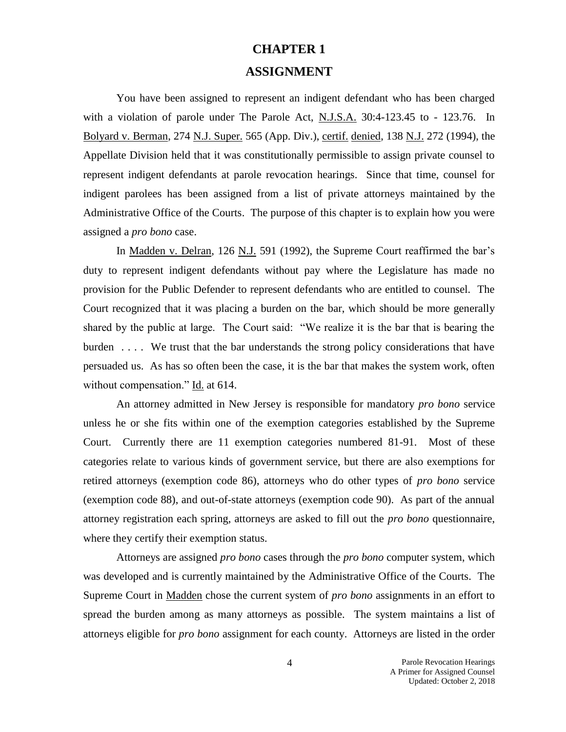# **CHAPTER 1**

### **ASSIGNMENT**

You have been assigned to represent an indigent defendant who has been charged with a violation of parole under The Parole Act, N.J.S.A. 30:4-123.45 to - 123.76. In Bolyard v. Berman, 274 N.J. Super. 565 (App. Div.), certif. denied, 138 N.J. 272 (1994), the Appellate Division held that it was constitutionally permissible to assign private counsel to represent indigent defendants at parole revocation hearings. Since that time, counsel for indigent parolees has been assigned from a list of private attorneys maintained by the Administrative Office of the Courts. The purpose of this chapter is to explain how you were assigned a *pro bono* case.

In Madden v. Delran, 126 N.J. 591 (1992), the Supreme Court reaffirmed the bar's duty to represent indigent defendants without pay where the Legislature has made no provision for the Public Defender to represent defendants who are entitled to counsel. The Court recognized that it was placing a burden on the bar, which should be more generally shared by the public at large. The Court said: "We realize it is the bar that is bearing the burden . . . . We trust that the bar understands the strong policy considerations that have persuaded us. As has so often been the case, it is the bar that makes the system work, often without compensation." Id. at 614.

An attorney admitted in New Jersey is responsible for mandatory *pro bono* service unless he or she fits within one of the exemption categories established by the Supreme Court. Currently there are 11 exemption categories numbered 81-91. Most of these categories relate to various kinds of government service, but there are also exemptions for retired attorneys (exemption code 86), attorneys who do other types of *pro bono* service (exemption code 88), and out-of-state attorneys (exemption code 90). As part of the annual attorney registration each spring, attorneys are asked to fill out the *pro bono* questionnaire, where they certify their exemption status.

Attorneys are assigned *pro bono* cases through the *pro bono* computer system, which was developed and is currently maintained by the Administrative Office of the Courts. The Supreme Court in Madden chose the current system of *pro bono* assignments in an effort to spread the burden among as many attorneys as possible. The system maintains a list of attorneys eligible for *pro bono* assignment for each county. Attorneys are listed in the order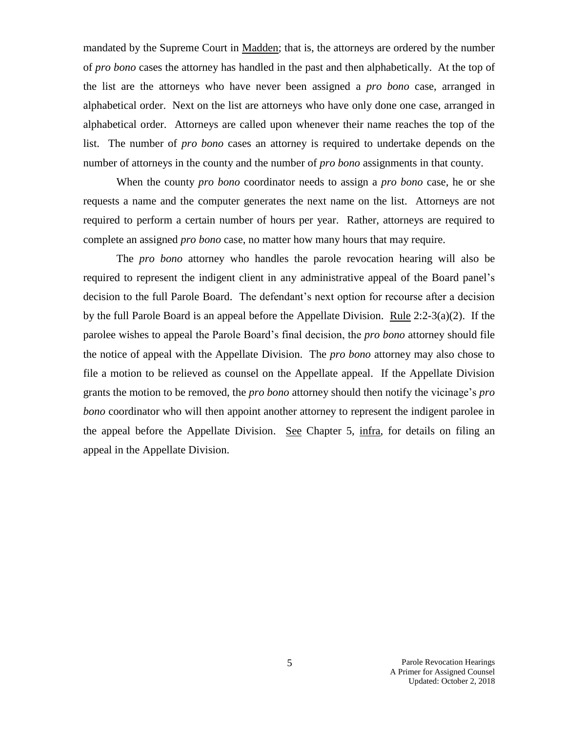mandated by the Supreme Court in Madden; that is, the attorneys are ordered by the number of *pro bono* cases the attorney has handled in the past and then alphabetically. At the top of the list are the attorneys who have never been assigned a *pro bono* case, arranged in alphabetical order. Next on the list are attorneys who have only done one case, arranged in alphabetical order. Attorneys are called upon whenever their name reaches the top of the list. The number of *pro bono* cases an attorney is required to undertake depends on the number of attorneys in the county and the number of *pro bono* assignments in that county.

When the county *pro bono* coordinator needs to assign a *pro bono* case, he or she requests a name and the computer generates the next name on the list. Attorneys are not required to perform a certain number of hours per year. Rather, attorneys are required to complete an assigned *pro bono* case, no matter how many hours that may require.

The *pro bono* attorney who handles the parole revocation hearing will also be required to represent the indigent client in any administrative appeal of the Board panel's decision to the full Parole Board. The defendant's next option for recourse after a decision by the full Parole Board is an appeal before the Appellate Division. Rule  $2:2-3(a)(2)$ . If the parolee wishes to appeal the Parole Board's final decision, the *pro bono* attorney should file the notice of appeal with the Appellate Division. The *pro bono* attorney may also chose to file a motion to be relieved as counsel on the Appellate appeal. If the Appellate Division grants the motion to be removed, the *pro bono* attorney should then notify the vicinage's *pro bono* coordinator who will then appoint another attorney to represent the indigent parolee in the appeal before the Appellate Division. See Chapter 5, infra, for details on filing an appeal in the Appellate Division.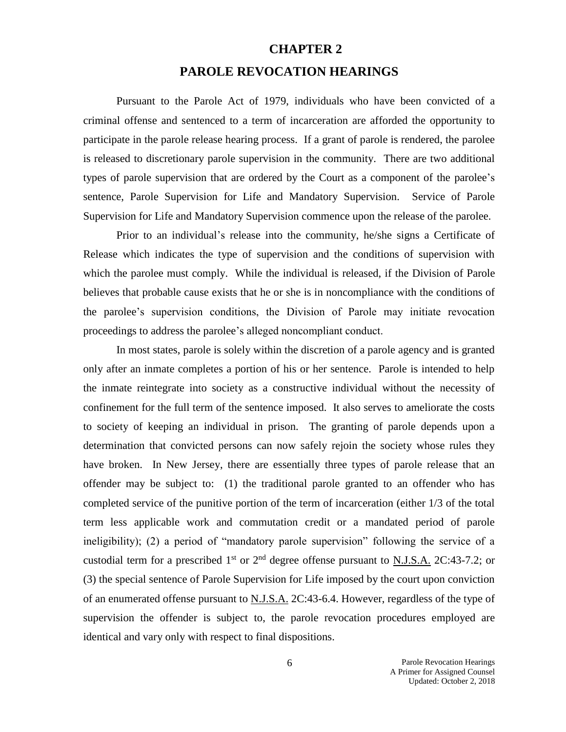# **CHAPTER 2 PAROLE REVOCATION HEARINGS**

Pursuant to the Parole Act of 1979, individuals who have been convicted of a criminal offense and sentenced to a term of incarceration are afforded the opportunity to participate in the parole release hearing process. If a grant of parole is rendered, the parolee is released to discretionary parole supervision in the community. There are two additional types of parole supervision that are ordered by the Court as a component of the parolee's sentence, Parole Supervision for Life and Mandatory Supervision. Service of Parole Supervision for Life and Mandatory Supervision commence upon the release of the parolee.

Prior to an individual's release into the community, he/she signs a Certificate of Release which indicates the type of supervision and the conditions of supervision with which the parolee must comply. While the individual is released, if the Division of Parole believes that probable cause exists that he or she is in noncompliance with the conditions of the parolee's supervision conditions, the Division of Parole may initiate revocation proceedings to address the parolee's alleged noncompliant conduct.

In most states, parole is solely within the discretion of a parole agency and is granted only after an inmate completes a portion of his or her sentence. Parole is intended to help the inmate reintegrate into society as a constructive individual without the necessity of confinement for the full term of the sentence imposed. It also serves to ameliorate the costs to society of keeping an individual in prison. The granting of parole depends upon a determination that convicted persons can now safely rejoin the society whose rules they have broken. In New Jersey, there are essentially three types of parole release that an offender may be subject to: (1) the traditional parole granted to an offender who has completed service of the punitive portion of the term of incarceration (either 1/3 of the total term less applicable work and commutation credit or a mandated period of parole ineligibility); (2) a period of "mandatory parole supervision" following the service of a custodial term for a prescribed  $1<sup>st</sup>$  or  $2<sup>nd</sup>$  degree offense pursuant to N.J.S.A. 2C:43-7.2; or (3) the special sentence of Parole Supervision for Life imposed by the court upon conviction of an enumerated offense pursuant to N.J.S.A. 2C:43-6.4. However, regardless of the type of supervision the offender is subject to, the parole revocation procedures employed are identical and vary only with respect to final dispositions.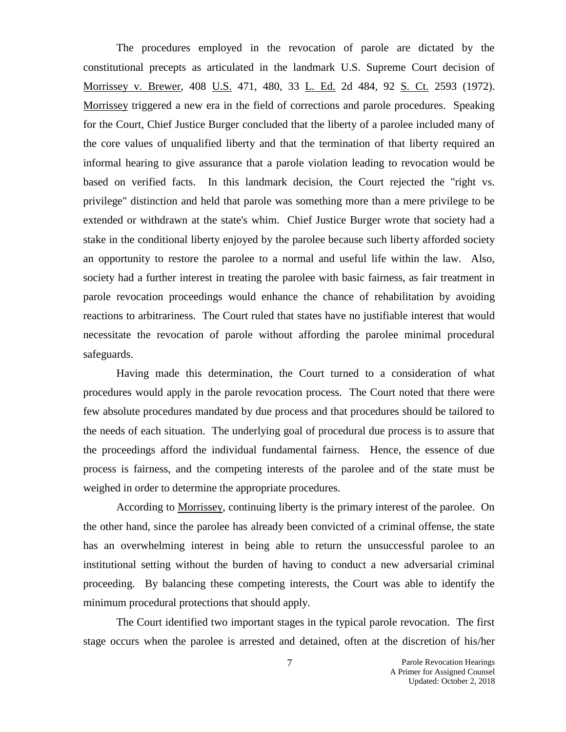The procedures employed in the revocation of parole are dictated by the constitutional precepts as articulated in the landmark U.S. Supreme Court decision of Morrissey v. Brewer, 408 U.S. 471, 480, 33 L. Ed. 2d 484, 92 S. Ct. 2593 (1972). Morrissey triggered a new era in the field of corrections and parole procedures. Speaking for the Court, Chief Justice Burger concluded that the liberty of a parolee included many of the core values of unqualified liberty and that the termination of that liberty required an informal hearing to give assurance that a parole violation leading to revocation would be based on verified facts. In this landmark decision, the Court rejected the "right vs. privilege" distinction and held that parole was something more than a mere privilege to be extended or withdrawn at the state's whim. Chief Justice Burger wrote that society had a stake in the conditional liberty enjoyed by the parolee because such liberty afforded society an opportunity to restore the parolee to a normal and useful life within the law. Also, society had a further interest in treating the parolee with basic fairness, as fair treatment in parole revocation proceedings would enhance the chance of rehabilitation by avoiding reactions to arbitrariness. The Court ruled that states have no justifiable interest that would necessitate the revocation of parole without affording the parolee minimal procedural safeguards.

Having made this determination, the Court turned to a consideration of what procedures would apply in the parole revocation process. The Court noted that there were few absolute procedures mandated by due process and that procedures should be tailored to the needs of each situation. The underlying goal of procedural due process is to assure that the proceedings afford the individual fundamental fairness. Hence, the essence of due process is fairness, and the competing interests of the parolee and of the state must be weighed in order to determine the appropriate procedures.

According to Morrissey, continuing liberty is the primary interest of the parolee. On the other hand, since the parolee has already been convicted of a criminal offense, the state has an overwhelming interest in being able to return the unsuccessful parolee to an institutional setting without the burden of having to conduct a new adversarial criminal proceeding. By balancing these competing interests, the Court was able to identify the minimum procedural protections that should apply.

The Court identified two important stages in the typical parole revocation. The first stage occurs when the parolee is arrested and detained, often at the discretion of his/her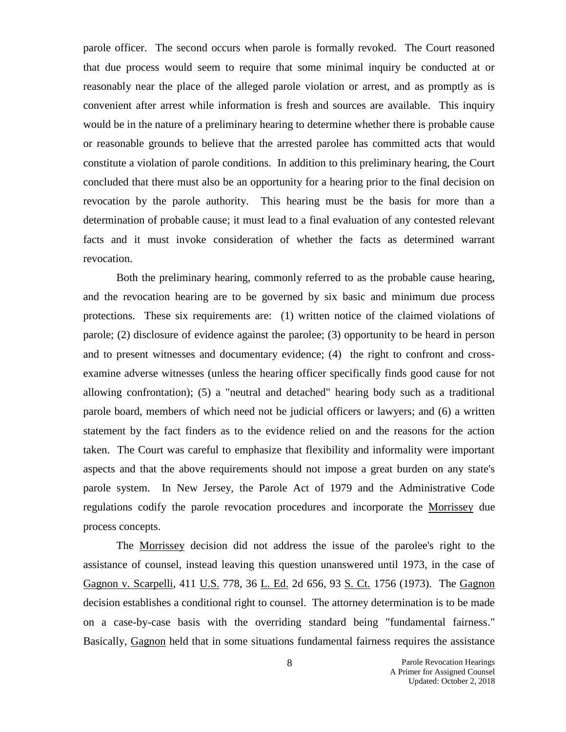parole officer. The second occurs when parole is formally revoked. The Court reasoned that due process would seem to require that some minimal inquiry be conducted at or reasonably near the place of the alleged parole violation or arrest, and as promptly as is convenient after arrest while information is fresh and sources are available. This inquiry would be in the nature of a preliminary hearing to determine whether there is probable cause or reasonable grounds to believe that the arrested parolee has committed acts that would constitute a violation of parole conditions. In addition to this preliminary hearing, the Court concluded that there must also be an opportunity for a hearing prior to the final decision on revocation by the parole authority. This hearing must be the basis for more than a determination of probable cause; it must lead to a final evaluation of any contested relevant facts and it must invoke consideration of whether the facts as determined warrant revocation.

Both the preliminary hearing, commonly referred to as the probable cause hearing, and the revocation hearing are to be governed by six basic and minimum due process protections. These six requirements are: (1) written notice of the claimed violations of parole; (2) disclosure of evidence against the parolee; (3) opportunity to be heard in person and to present witnesses and documentary evidence; (4) the right to confront and crossexamine adverse witnesses (unless the hearing officer specifically finds good cause for not allowing confrontation); (5) a "neutral and detached" hearing body such as a traditional parole board, members of which need not be judicial officers or lawyers; and (6) a written statement by the fact finders as to the evidence relied on and the reasons for the action taken. The Court was careful to emphasize that flexibility and informality were important aspects and that the above requirements should not impose a great burden on any state's parole system. In New Jersey, the Parole Act of 1979 and the Administrative Code regulations codify the parole revocation procedures and incorporate the Morrissey due process concepts.

The Morrissey decision did not address the issue of the parolee's right to the assistance of counsel, instead leaving this question unanswered until 1973, in the case of Gagnon v. Scarpelli, 411 U.S. 778, 36 L. Ed. 2d 656, 93 S. Ct. 1756 (1973). The Gagnon decision establishes a conditional right to counsel. The attorney determination is to be made on a case-by-case basis with the overriding standard being "fundamental fairness." Basically, Gagnon held that in some situations fundamental fairness requires the assistance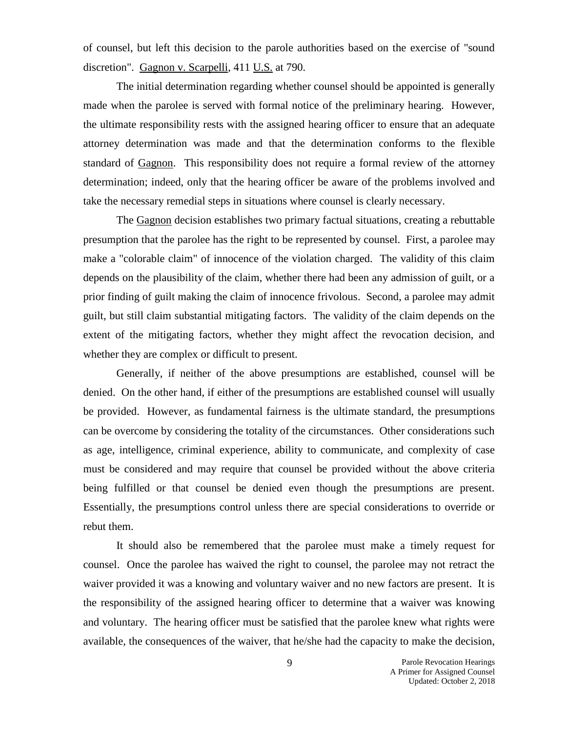of counsel, but left this decision to the parole authorities based on the exercise of "sound discretion". Gagnon v. Scarpelli, 411 U.S. at 790.

The initial determination regarding whether counsel should be appointed is generally made when the parolee is served with formal notice of the preliminary hearing. However, the ultimate responsibility rests with the assigned hearing officer to ensure that an adequate attorney determination was made and that the determination conforms to the flexible standard of Gagnon. This responsibility does not require a formal review of the attorney determination; indeed, only that the hearing officer be aware of the problems involved and take the necessary remedial steps in situations where counsel is clearly necessary.

The Gagnon decision establishes two primary factual situations, creating a rebuttable presumption that the parolee has the right to be represented by counsel. First, a parolee may make a "colorable claim" of innocence of the violation charged. The validity of this claim depends on the plausibility of the claim, whether there had been any admission of guilt, or a prior finding of guilt making the claim of innocence frivolous. Second, a parolee may admit guilt, but still claim substantial mitigating factors. The validity of the claim depends on the extent of the mitigating factors, whether they might affect the revocation decision, and whether they are complex or difficult to present.

Generally, if neither of the above presumptions are established, counsel will be denied. On the other hand, if either of the presumptions are established counsel will usually be provided. However, as fundamental fairness is the ultimate standard, the presumptions can be overcome by considering the totality of the circumstances. Other considerations such as age, intelligence, criminal experience, ability to communicate, and complexity of case must be considered and may require that counsel be provided without the above criteria being fulfilled or that counsel be denied even though the presumptions are present. Essentially, the presumptions control unless there are special considerations to override or rebut them.

It should also be remembered that the parolee must make a timely request for counsel. Once the parolee has waived the right to counsel, the parolee may not retract the waiver provided it was a knowing and voluntary waiver and no new factors are present. It is the responsibility of the assigned hearing officer to determine that a waiver was knowing and voluntary. The hearing officer must be satisfied that the parolee knew what rights were available, the consequences of the waiver, that he/she had the capacity to make the decision,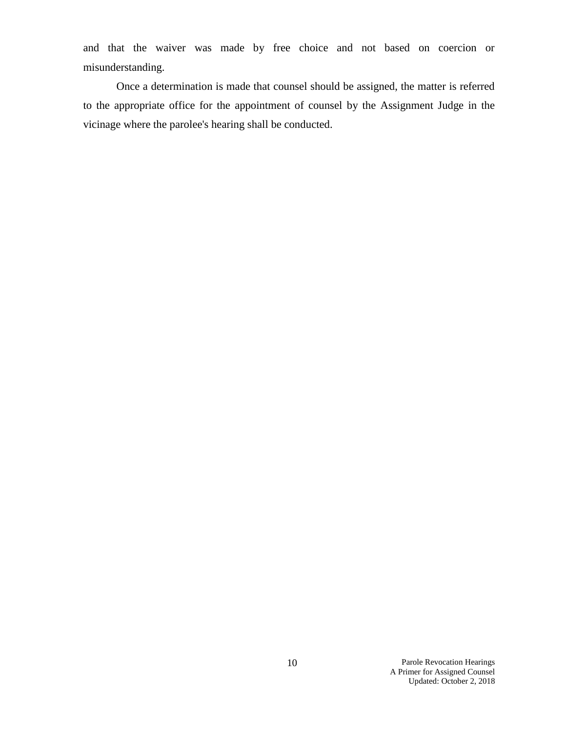and that the waiver was made by free choice and not based on coercion or misunderstanding.

Once a determination is made that counsel should be assigned, the matter is referred to the appropriate office for the appointment of counsel by the Assignment Judge in the vicinage where the parolee's hearing shall be conducted.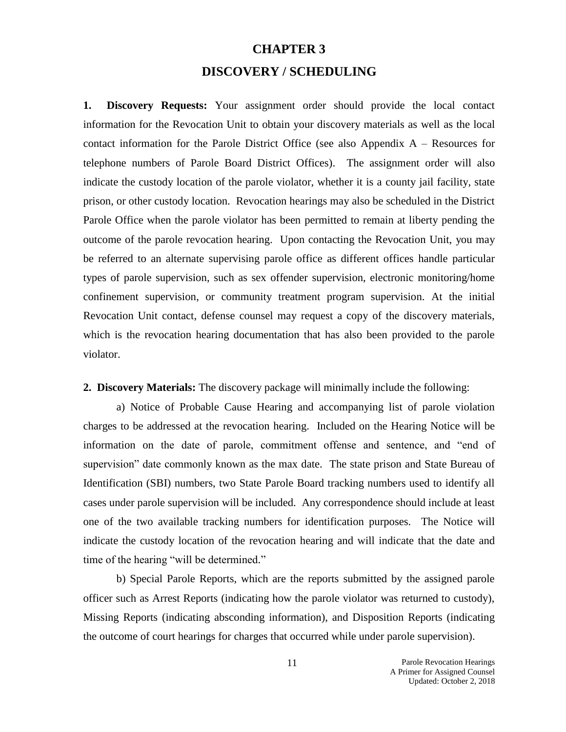# **CHAPTER 3 DISCOVERY / SCHEDULING**

**1. Discovery Requests:** Your assignment order should provide the local contact information for the Revocation Unit to obtain your discovery materials as well as the local contact information for the Parole District Office (see also Appendix  $A -$ Resources for telephone numbers of Parole Board District Offices). The assignment order will also indicate the custody location of the parole violator, whether it is a county jail facility, state prison, or other custody location. Revocation hearings may also be scheduled in the District Parole Office when the parole violator has been permitted to remain at liberty pending the outcome of the parole revocation hearing. Upon contacting the Revocation Unit, you may be referred to an alternate supervising parole office as different offices handle particular types of parole supervision, such as sex offender supervision, electronic monitoring/home confinement supervision, or community treatment program supervision. At the initial Revocation Unit contact, defense counsel may request a copy of the discovery materials, which is the revocation hearing documentation that has also been provided to the parole violator.

**2. Discovery Materials:** The discovery package will minimally include the following:

a) Notice of Probable Cause Hearing and accompanying list of parole violation charges to be addressed at the revocation hearing. Included on the Hearing Notice will be information on the date of parole, commitment offense and sentence, and "end of supervision" date commonly known as the max date. The state prison and State Bureau of Identification (SBI) numbers, two State Parole Board tracking numbers used to identify all cases under parole supervision will be included. Any correspondence should include at least one of the two available tracking numbers for identification purposes. The Notice will indicate the custody location of the revocation hearing and will indicate that the date and time of the hearing "will be determined."

b) Special Parole Reports, which are the reports submitted by the assigned parole officer such as Arrest Reports (indicating how the parole violator was returned to custody), Missing Reports (indicating absconding information), and Disposition Reports (indicating the outcome of court hearings for charges that occurred while under parole supervision).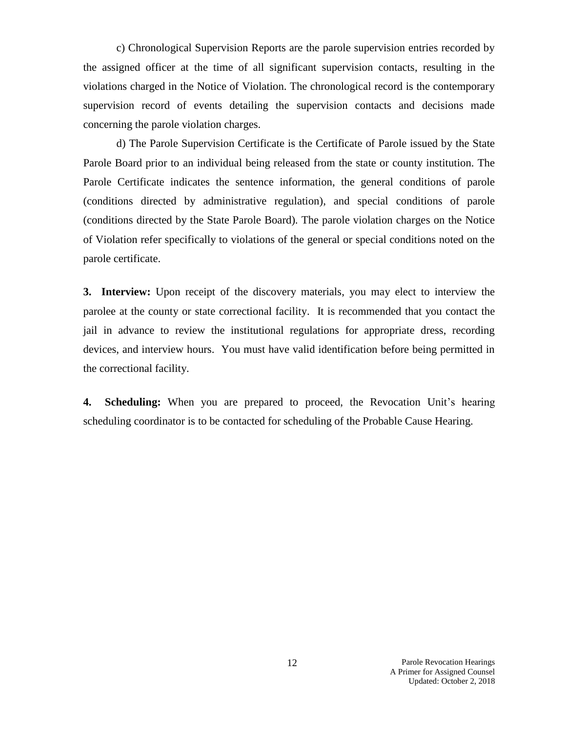c) Chronological Supervision Reports are the parole supervision entries recorded by the assigned officer at the time of all significant supervision contacts, resulting in the violations charged in the Notice of Violation. The chronological record is the contemporary supervision record of events detailing the supervision contacts and decisions made concerning the parole violation charges.

d) The Parole Supervision Certificate is the Certificate of Parole issued by the State Parole Board prior to an individual being released from the state or county institution. The Parole Certificate indicates the sentence information, the general conditions of parole (conditions directed by administrative regulation), and special conditions of parole (conditions directed by the State Parole Board). The parole violation charges on the Notice of Violation refer specifically to violations of the general or special conditions noted on the parole certificate.

**3. Interview:** Upon receipt of the discovery materials, you may elect to interview the parolee at the county or state correctional facility. It is recommended that you contact the jail in advance to review the institutional regulations for appropriate dress, recording devices, and interview hours. You must have valid identification before being permitted in the correctional facility.

**4. Scheduling:** When you are prepared to proceed, the Revocation Unit's hearing scheduling coordinator is to be contacted for scheduling of the Probable Cause Hearing.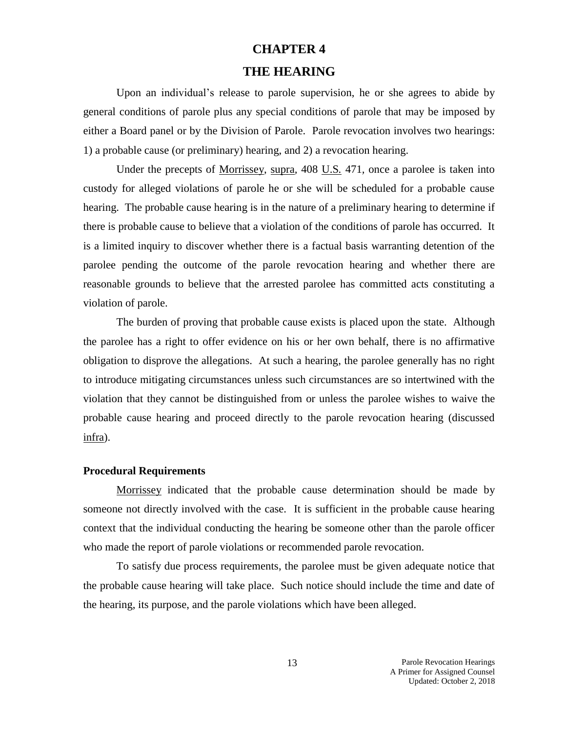## **CHAPTER 4**

### **THE HEARING**

Upon an individual's release to parole supervision, he or she agrees to abide by general conditions of parole plus any special conditions of parole that may be imposed by either a Board panel or by the Division of Parole. Parole revocation involves two hearings: 1) a probable cause (or preliminary) hearing, and 2) a revocation hearing.

Under the precepts of Morrissey, supra*,* 408 U.S*.* 471*,* once a parolee is taken into custody for alleged violations of parole he or she will be scheduled for a probable cause hearing. The probable cause hearing is in the nature of a preliminary hearing to determine if there is probable cause to believe that a violation of the conditions of parole has occurred. It is a limited inquiry to discover whether there is a factual basis warranting detention of the parolee pending the outcome of the parole revocation hearing and whether there are reasonable grounds to believe that the arrested parolee has committed acts constituting a violation of parole.

The burden of proving that probable cause exists is placed upon the state. Although the parolee has a right to offer evidence on his or her own behalf, there is no affirmative obligation to disprove the allegations. At such a hearing, the parolee generally has no right to introduce mitigating circumstances unless such circumstances are so intertwined with the violation that they cannot be distinguished from or unless the parolee wishes to waive the probable cause hearing and proceed directly to the parole revocation hearing (discussed infra).

### **Procedural Requirements**

Morrissey indicated that the probable cause determination should be made by someone not directly involved with the case. It is sufficient in the probable cause hearing context that the individual conducting the hearing be someone other than the parole officer who made the report of parole violations or recommended parole revocation.

To satisfy due process requirements, the parolee must be given adequate notice that the probable cause hearing will take place. Such notice should include the time and date of the hearing, its purpose, and the parole violations which have been alleged.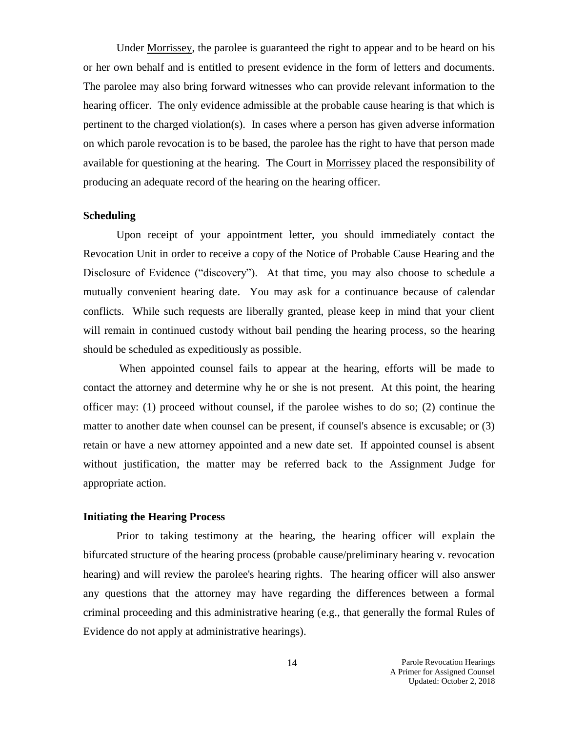Under Morrissey, the parolee is guaranteed the right to appear and to be heard on his or her own behalf and is entitled to present evidence in the form of letters and documents. The parolee may also bring forward witnesses who can provide relevant information to the hearing officer. The only evidence admissible at the probable cause hearing is that which is pertinent to the charged violation(s). In cases where a person has given adverse information on which parole revocation is to be based, the parolee has the right to have that person made available for questioning at the hearing. The Court in Morrissey placed the responsibility of producing an adequate record of the hearing on the hearing officer.

### **Scheduling**

Upon receipt of your appointment letter, you should immediately contact the Revocation Unit in order to receive a copy of the Notice of Probable Cause Hearing and the Disclosure of Evidence ("discovery"). At that time, you may also choose to schedule a mutually convenient hearing date. You may ask for a continuance because of calendar conflicts. While such requests are liberally granted, please keep in mind that your client will remain in continued custody without bail pending the hearing process, so the hearing should be scheduled as expeditiously as possible.

When appointed counsel fails to appear at the hearing, efforts will be made to contact the attorney and determine why he or she is not present. At this point, the hearing officer may: (1) proceed without counsel, if the parolee wishes to do so; (2) continue the matter to another date when counsel can be present, if counsel's absence is excusable; or (3) retain or have a new attorney appointed and a new date set. If appointed counsel is absent without justification, the matter may be referred back to the Assignment Judge for appropriate action.

### **Initiating the Hearing Process**

Prior to taking testimony at the hearing, the hearing officer will explain the bifurcated structure of the hearing process (probable cause/preliminary hearing v. revocation hearing) and will review the parolee's hearing rights. The hearing officer will also answer any questions that the attorney may have regarding the differences between a formal criminal proceeding and this administrative hearing (e.g., that generally the formal Rules of Evidence do not apply at administrative hearings).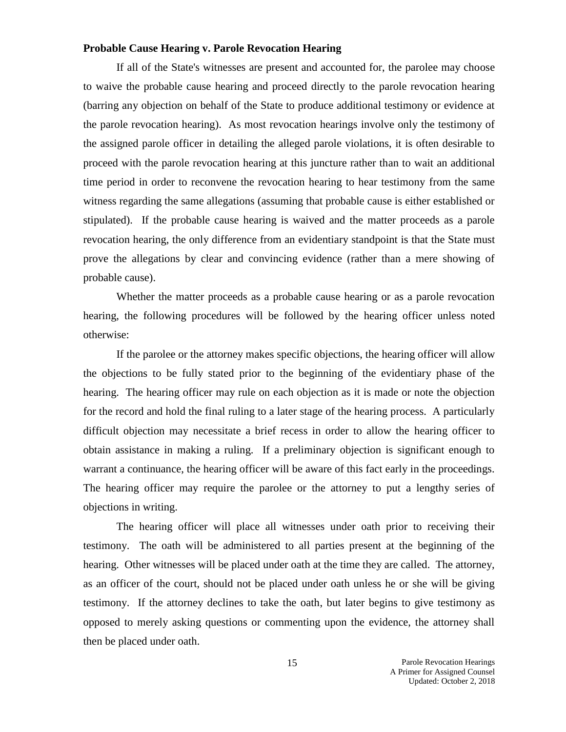### **Probable Cause Hearing v. Parole Revocation Hearing**

If all of the State's witnesses are present and accounted for, the parolee may choose to waive the probable cause hearing and proceed directly to the parole revocation hearing (barring any objection on behalf of the State to produce additional testimony or evidence at the parole revocation hearing). As most revocation hearings involve only the testimony of the assigned parole officer in detailing the alleged parole violations, it is often desirable to proceed with the parole revocation hearing at this juncture rather than to wait an additional time period in order to reconvene the revocation hearing to hear testimony from the same witness regarding the same allegations (assuming that probable cause is either established or stipulated). If the probable cause hearing is waived and the matter proceeds as a parole revocation hearing, the only difference from an evidentiary standpoint is that the State must prove the allegations by clear and convincing evidence (rather than a mere showing of probable cause).

Whether the matter proceeds as a probable cause hearing or as a parole revocation hearing, the following procedures will be followed by the hearing officer unless noted otherwise:

If the parolee or the attorney makes specific objections, the hearing officer will allow the objections to be fully stated prior to the beginning of the evidentiary phase of the hearing. The hearing officer may rule on each objection as it is made or note the objection for the record and hold the final ruling to a later stage of the hearing process. A particularly difficult objection may necessitate a brief recess in order to allow the hearing officer to obtain assistance in making a ruling. If a preliminary objection is significant enough to warrant a continuance, the hearing officer will be aware of this fact early in the proceedings. The hearing officer may require the parolee or the attorney to put a lengthy series of objections in writing.

The hearing officer will place all witnesses under oath prior to receiving their testimony. The oath will be administered to all parties present at the beginning of the hearing. Other witnesses will be placed under oath at the time they are called. The attorney, as an officer of the court, should not be placed under oath unless he or she will be giving testimony. If the attorney declines to take the oath, but later begins to give testimony as opposed to merely asking questions or commenting upon the evidence, the attorney shall then be placed under oath.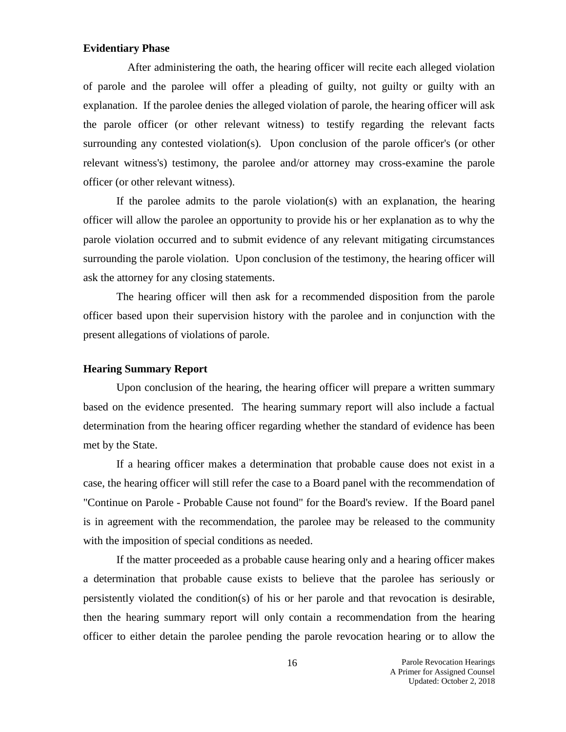#### **Evidentiary Phase**

 After administering the oath, the hearing officer will recite each alleged violation of parole and the parolee will offer a pleading of guilty, not guilty or guilty with an explanation. If the parolee denies the alleged violation of parole, the hearing officer will ask the parole officer (or other relevant witness) to testify regarding the relevant facts surrounding any contested violation(s). Upon conclusion of the parole officer's (or other relevant witness's) testimony, the parolee and/or attorney may cross-examine the parole officer (or other relevant witness).

If the parolee admits to the parole violation(s) with an explanation, the hearing officer will allow the parolee an opportunity to provide his or her explanation as to why the parole violation occurred and to submit evidence of any relevant mitigating circumstances surrounding the parole violation. Upon conclusion of the testimony, the hearing officer will ask the attorney for any closing statements.

The hearing officer will then ask for a recommended disposition from the parole officer based upon their supervision history with the parolee and in conjunction with the present allegations of violations of parole.

### **Hearing Summary Report**

Upon conclusion of the hearing, the hearing officer will prepare a written summary based on the evidence presented. The hearing summary report will also include a factual determination from the hearing officer regarding whether the standard of evidence has been met by the State.

If a hearing officer makes a determination that probable cause does not exist in a case, the hearing officer will still refer the case to a Board panel with the recommendation of "Continue on Parole - Probable Cause not found" for the Board's review. If the Board panel is in agreement with the recommendation, the parolee may be released to the community with the imposition of special conditions as needed.

If the matter proceeded as a probable cause hearing only and a hearing officer makes a determination that probable cause exists to believe that the parolee has seriously or persistently violated the condition(s) of his or her parole and that revocation is desirable, then the hearing summary report will only contain a recommendation from the hearing officer to either detain the parolee pending the parole revocation hearing or to allow the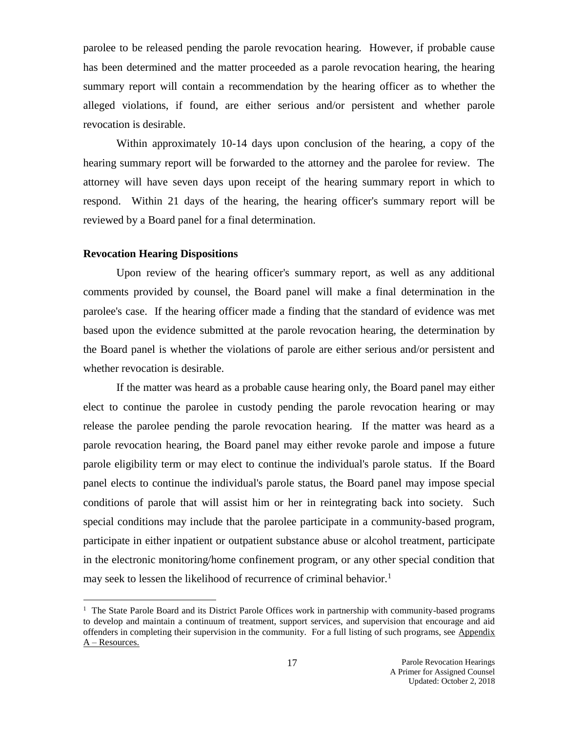parolee to be released pending the parole revocation hearing. However, if probable cause has been determined and the matter proceeded as a parole revocation hearing, the hearing summary report will contain a recommendation by the hearing officer as to whether the alleged violations, if found, are either serious and/or persistent and whether parole revocation is desirable.

Within approximately 10-14 days upon conclusion of the hearing, a copy of the hearing summary report will be forwarded to the attorney and the parolee for review. The attorney will have seven days upon receipt of the hearing summary report in which to respond. Within 21 days of the hearing, the hearing officer's summary report will be reviewed by a Board panel for a final determination.

### **Revocation Hearing Dispositions**

 $\overline{a}$ 

Upon review of the hearing officer's summary report, as well as any additional comments provided by counsel, the Board panel will make a final determination in the parolee's case. If the hearing officer made a finding that the standard of evidence was met based upon the evidence submitted at the parole revocation hearing, the determination by the Board panel is whether the violations of parole are either serious and/or persistent and whether revocation is desirable.

If the matter was heard as a probable cause hearing only, the Board panel may either elect to continue the parolee in custody pending the parole revocation hearing or may release the parolee pending the parole revocation hearing. If the matter was heard as a parole revocation hearing, the Board panel may either revoke parole and impose a future parole eligibility term or may elect to continue the individual's parole status. If the Board panel elects to continue the individual's parole status, the Board panel may impose special conditions of parole that will assist him or her in reintegrating back into society. Such special conditions may include that the parolee participate in a community-based program, participate in either inpatient or outpatient substance abuse or alcohol treatment, participate in the electronic monitoring/home confinement program, or any other special condition that may seek to lessen the likelihood of recurrence of criminal behavior.<sup>1</sup>

<sup>&</sup>lt;sup>1</sup> The State Parole Board and its District Parole Offices work in partnership with community-based programs to develop and maintain a continuum of treatment, support services, and supervision that encourage and aid offenders in completing their supervision in the community. For a full listing of such programs, see Appendix A – Resources.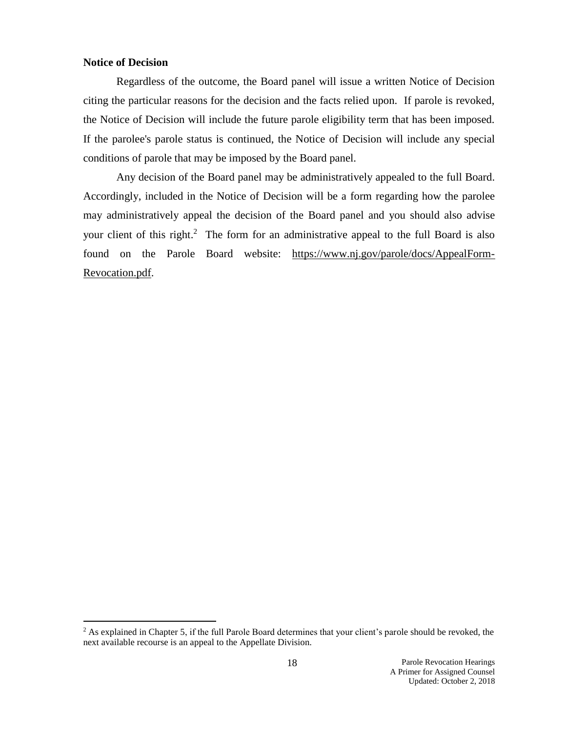### **Notice of Decision**

 $\overline{a}$ 

Regardless of the outcome, the Board panel will issue a written Notice of Decision citing the particular reasons for the decision and the facts relied upon. If parole is revoked, the Notice of Decision will include the future parole eligibility term that has been imposed. If the parolee's parole status is continued, the Notice of Decision will include any special conditions of parole that may be imposed by the Board panel.

Any decision of the Board panel may be administratively appealed to the full Board. Accordingly, included in the Notice of Decision will be a form regarding how the parolee may administratively appeal the decision of the Board panel and you should also advise your client of this right.<sup>2</sup> The form for an administrative appeal to the full Board is also found on the Parole Board website: [https://www.nj.gov/parole/docs/AppealForm-](https://www.nj.gov/parole/docs/AppealForm-Revocation.pdf)[Revocation.pdf.](https://www.nj.gov/parole/docs/AppealForm-Revocation.pdf)

<sup>&</sup>lt;sup>2</sup> As explained in Chapter 5, if the full Parole Board determines that your client's parole should be revoked, the next available recourse is an appeal to the Appellate Division.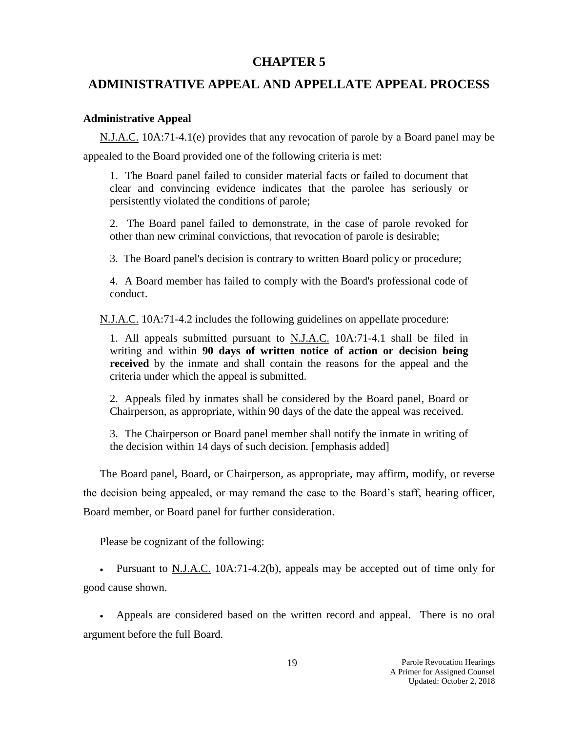### **CHAPTER 5**

### **ADMINISTRATIVE APPEAL AND APPELLATE APPEAL PROCESS**

### **Administrative Appeal**

N.J.A.C. 10A:71-4.1(e) provides that any revocation of parole by a Board panel may be appealed to the Board provided one of the following criteria is met:

1. The Board panel failed to consider material facts or failed to document that clear and convincing evidence indicates that the parolee has seriously or persistently violated the conditions of parole;

2. The Board panel failed to demonstrate, in the case of parole revoked for other than new criminal convictions, that revocation of parole is desirable;

3. The Board panel's decision is contrary to written Board policy or procedure;

4. A Board member has failed to comply with the Board's professional code of conduct.

N.J.A.C. 10A:71-4.2 includes the following guidelines on appellate procedure:

1. All appeals submitted pursuant to N.J.A.C. 10A:71-4.1 shall be filed in writing and within **90 days of written notice of action or decision being received** by the inmate and shall contain the reasons for the appeal and the criteria under which the appeal is submitted.

2. Appeals filed by inmates shall be considered by the Board panel, Board or Chairperson, as appropriate, within 90 days of the date the appeal was received.

3. The Chairperson or Board panel member shall notify the inmate in writing of the decision within 14 days of such decision. [emphasis added]

The Board panel, Board, or Chairperson, as appropriate, may affirm, modify, or reverse the decision being appealed, or may remand the case to the Board's staff, hearing officer, Board member, or Board panel for further consideration.

Please be cognizant of the following:

 Pursuant to N.J.A.C. 10A:71-4.2(b), appeals may be accepted out of time only for good cause shown.

 Appeals are considered based on the written record and appeal. There is no oral argument before the full Board.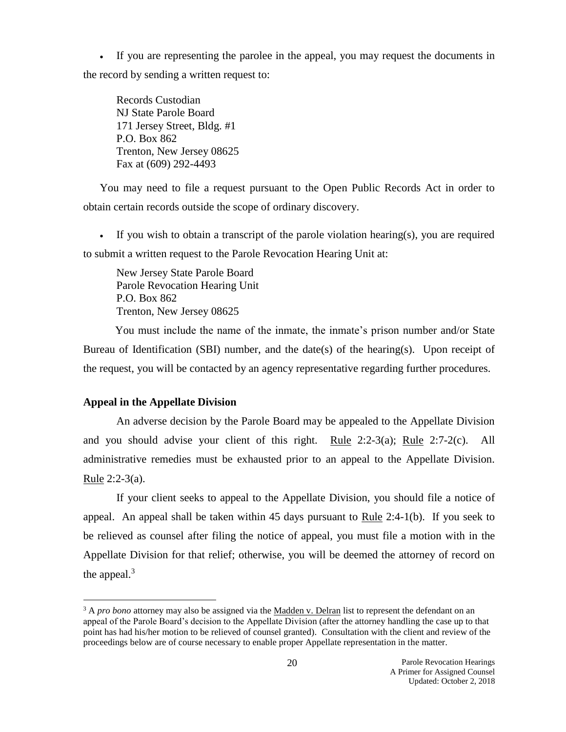If you are representing the parolee in the appeal, you may request the documents in the record by sending a written request to:

Records Custodian NJ State Parole Board 171 Jersey Street, Bldg. #1 P.O. Box 862 Trenton, New Jersey 08625 Fax at (609) 292-4493

You may need to file a request pursuant to the Open Public Records Act in order to obtain certain records outside the scope of ordinary discovery.

If you wish to obtain a transcript of the parole violation hearing(s), you are required to submit a written request to the Parole Revocation Hearing Unit at:

New Jersey State Parole Board Parole Revocation Hearing Unit P.O. Box 862 Trenton, New Jersey 08625

 You must include the name of the inmate, the inmate's prison number and/or State Bureau of Identification (SBI) number, and the date(s) of the hearing(s). Upon receipt of the request, you will be contacted by an agency representative regarding further procedures.

### **Appeal in the Appellate Division**

 $\overline{a}$ 

An adverse decision by the Parole Board may be appealed to the Appellate Division and you should advise your client of this right. Rule 2:2-3(a); Rule 2:7-2(c). All administrative remedies must be exhausted prior to an appeal to the Appellate Division. Rule 2:2-3(a).

If your client seeks to appeal to the Appellate Division, you should file a notice of appeal. An appeal shall be taken within 45 days pursuant to Rule 2:4-1(b). If you seek to be relieved as counsel after filing the notice of appeal, you must file a motion with in the Appellate Division for that relief; otherwise, you will be deemed the attorney of record on the appeal. $3$ 

<sup>&</sup>lt;sup>3</sup> A *pro bono* attorney may also be assigned via the Madden v. Delran list to represent the defendant on an appeal of the Parole Board's decision to the Appellate Division (after the attorney handling the case up to that point has had his/her motion to be relieved of counsel granted). Consultation with the client and review of the proceedings below are of course necessary to enable proper Appellate representation in the matter.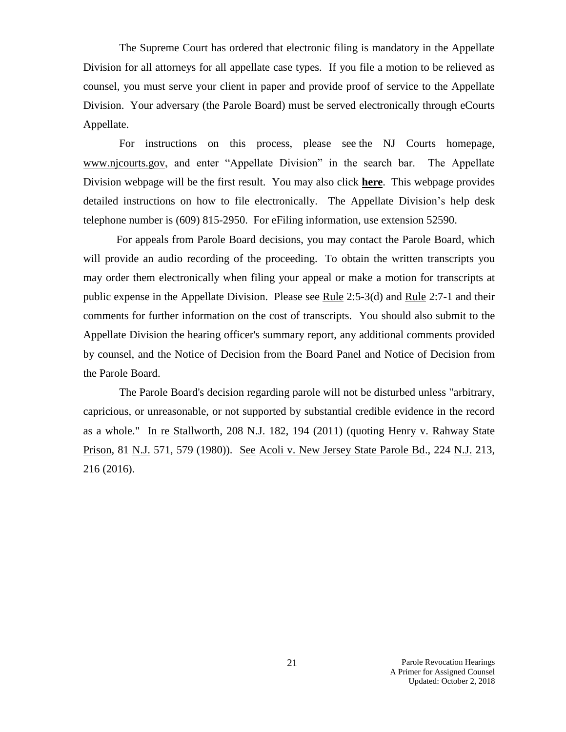The Supreme Court has ordered that electronic filing is mandatory in the Appellate Division for all attorneys for all appellate case types. If you file a motion to be relieved as counsel, you must serve your client in paper and provide proof of service to the Appellate Division. Your adversary (the Parole Board) must be served electronically through eCourts Appellate.

For instructions on this process, please see the NJ Courts homepage, [www.njcourts.gov,](http://www.njcourts.gov/) and enter "Appellate Division" in the search bar. The Appellate Division webpage will be the first result. You may also click **[here](http://www.njcourts.gov/courts/appellate.html?lang=eng)**. This webpage provides detailed instructions on how to file electronically. The Appellate Division's help desk telephone number is (609) 815-2950. For eFiling information, use extension 52590.

For appeals from Parole Board decisions, you may contact the Parole Board, which will provide an audio recording of the proceeding. To obtain the written transcripts you may order them electronically when filing your appeal or make a motion for transcripts at public expense in the Appellate Division. Please see Rule 2:5-3(d) and Rule 2:7-1 and their comments for further information on the cost of transcripts. You should also submit to the Appellate Division the hearing officer's summary report, any additional comments provided by counsel, and the Notice of Decision from the Board Panel and Notice of Decision from the Parole Board.

 The Parole Board's decision regarding parole will not be disturbed unless "arbitrary, capricious, or unreasonable, or not supported by substantial credible evidence in the record as a whole." In re Stallworth, 208 N.J. 182, 194 (2011) (quoting Henry v. Rahway State Prison, 81 N.J. 571, 579 (1980)). See Acoli v. New Jersey State Parole Bd., 224 N.J. 213, 216 (2016).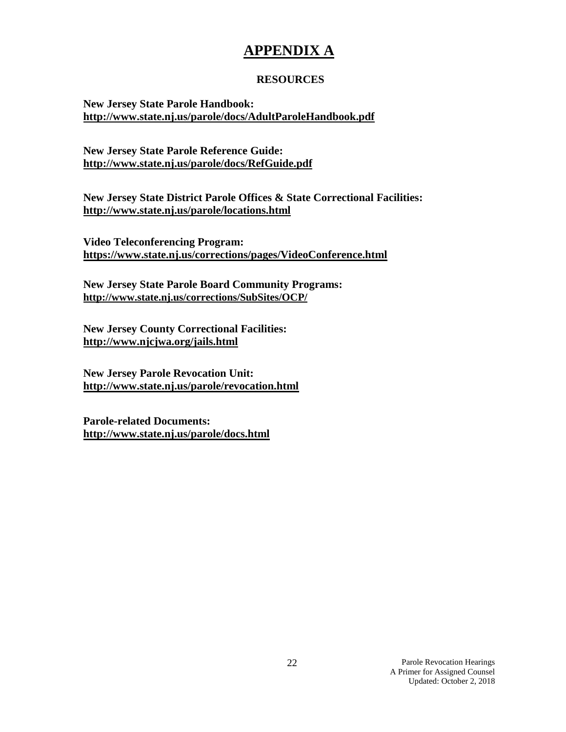# **APPENDIX A**

### **RESOURCES**

**New Jersey State Parole Handbook: <http://www.state.nj.us/parole/docs/AdultParoleHandbook.pdf>**

**New Jersey State Parole Reference Guide: <http://www.state.nj.us/parole/docs/RefGuide.pdf>**

**New Jersey State District Parole Offices & State Correctional Facilities: <http://www.state.nj.us/parole/locations.html>**

**Video Teleconferencing Program: <https://www.state.nj.us/corrections/pages/VideoConference.html>**

**New Jersey State Parole Board Community Programs: <http://www.state.nj.us/corrections/SubSites/OCP/>**

**New Jersey County Correctional Facilities: <http://www.njcjwa.org/jails.html>**

**New Jersey Parole Revocation Unit: <http://www.state.nj.us/parole/revocation.html>**

**Parole-related Documents: <http://www.state.nj.us/parole/docs.html>**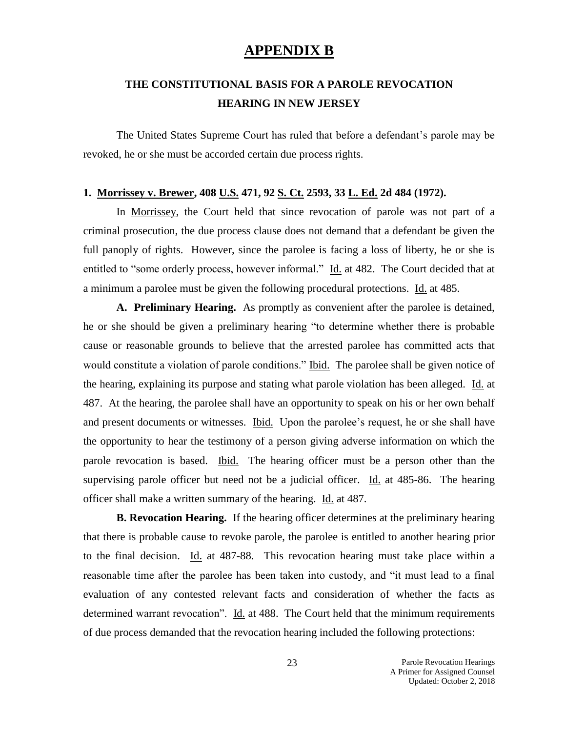### **APPENDIX B**

# **THE CONSTITUTIONAL BASIS FOR A PAROLE REVOCATION HEARING IN NEW JERSEY**

The United States Supreme Court has ruled that before a defendant's parole may be revoked, he or she must be accorded certain due process rights.

### **1. Morrissey v. Brewer, 408 U.S. 471, 92 S. Ct. 2593, 33 L. Ed. 2d 484 (1972).**

In Morrissey, the Court held that since revocation of parole was not part of a criminal prosecution, the due process clause does not demand that a defendant be given the full panoply of rights. However, since the parolee is facing a loss of liberty, he or she is entitled to "some orderly process, however informal." Id. at 482. The Court decided that at a minimum a parolee must be given the following procedural protections. Id. at 485.

**A. Preliminary Hearing.** As promptly as convenient after the parolee is detained, he or she should be given a preliminary hearing "to determine whether there is probable cause or reasonable grounds to believe that the arrested parolee has committed acts that would constitute a violation of parole conditions." Ibid. The parolee shall be given notice of the hearing, explaining its purpose and stating what parole violation has been alleged. Id. at 487. At the hearing, the parolee shall have an opportunity to speak on his or her own behalf and present documents or witnesses. Ibid. Upon the parolee's request, he or she shall have the opportunity to hear the testimony of a person giving adverse information on which the parole revocation is based. Ibid. The hearing officer must be a person other than the supervising parole officer but need not be a judicial officer. Id. at 485-86. The hearing officer shall make a written summary of the hearing. Id. at 487.

**B. Revocation Hearing.** If the hearing officer determines at the preliminary hearing that there is probable cause to revoke parole, the parolee is entitled to another hearing prior to the final decision. Id. at 487-88. This revocation hearing must take place within a reasonable time after the parolee has been taken into custody, and "it must lead to a final evaluation of any contested relevant facts and consideration of whether the facts as determined warrant revocation". Id. at 488. The Court held that the minimum requirements of due process demanded that the revocation hearing included the following protections: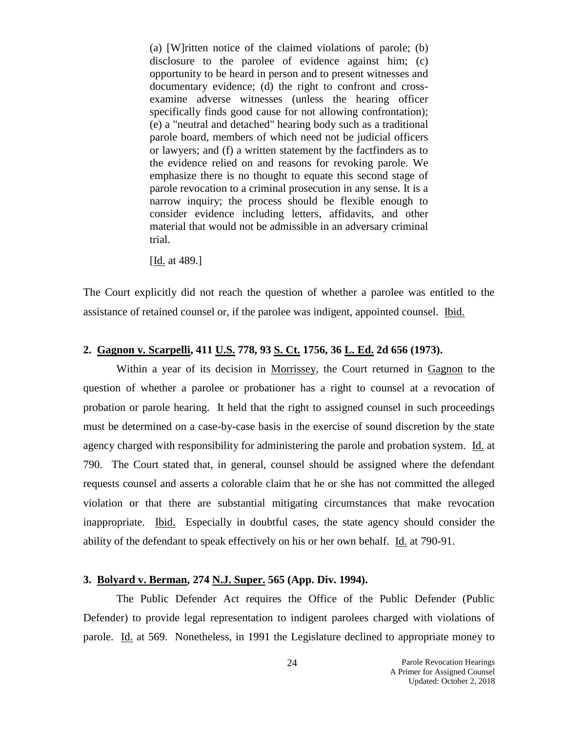(a) [W]ritten notice of the claimed violations of parole; (b) disclosure to the parolee of evidence against him; (c) opportunity to be heard in person and to present witnesses and documentary evidence; (d) the right to confront and crossexamine adverse witnesses (unless the hearing officer specifically finds good cause for not allowing confrontation); (e) a "neutral and detached" hearing body such as a traditional parole board, members of which need not be judicial officers or lawyers; and (f) a written statement by the factfinders as to the evidence relied on and reasons for revoking parole. We emphasize there is no thought to equate this second stage of parole revocation to a criminal prosecution in any sense. It is a narrow inquiry; the process should be flexible enough to consider evidence including letters, affidavits, and other material that would not be admissible in an adversary criminal trial.

[Id. at 489.]

The Court explicitly did not reach the question of whether a parolee was entitled to the assistance of retained counsel or, if the parolee was indigent, appointed counsel. Ibid.

### **2. Gagnon v. Scarpelli, 411 U.S. 778, 93 S. Ct. 1756, 36 L. Ed. 2d 656 (1973).**

Within a year of its decision in Morrissey, the Court returned in Gagnon to the question of whether a parolee or probationer has a right to counsel at a revocation of probation or parole hearing. It held that the right to assigned counsel in such proceedings must be determined on a case-by-case basis in the exercise of sound discretion by the state agency charged with responsibility for administering the parole and probation system. Id. at 790. The Court stated that, in general, counsel should be assigned where the defendant requests counsel and asserts a colorable claim that he or she has not committed the alleged violation or that there are substantial mitigating circumstances that make revocation inappropriate. Ibid. Especially in doubtful cases, the state agency should consider the ability of the defendant to speak effectively on his or her own behalf. Id. at 790-91.

### **3. Bolyard v. Berman, 274 N.J. Super. 565 (App. Div. 1994).**

The Public Defender Act requires the Office of the Public Defender (Public Defender) to provide legal representation to indigent parolees charged with violations of parole. Id. at 569. Nonetheless, in 1991 the Legislature declined to appropriate money to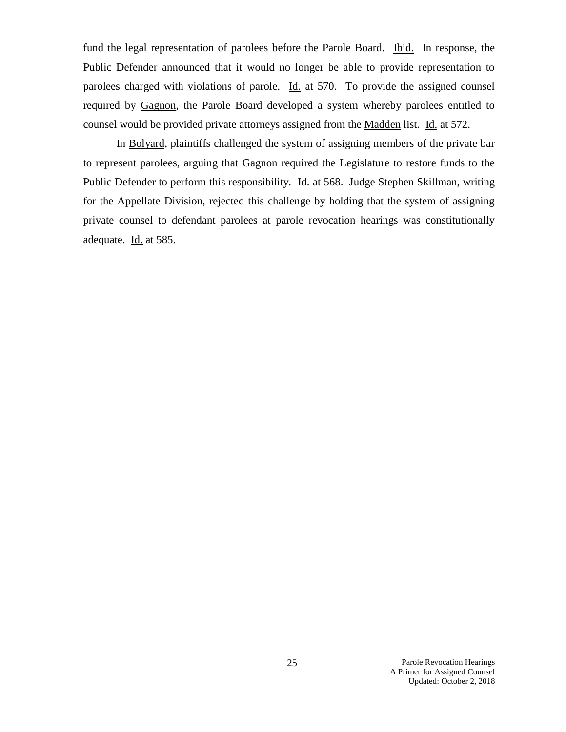fund the legal representation of parolees before the Parole Board. Ibid. In response, the Public Defender announced that it would no longer be able to provide representation to parolees charged with violations of parole. Id. at 570. To provide the assigned counsel required by Gagnon, the Parole Board developed a system whereby parolees entitled to counsel would be provided private attorneys assigned from the Madden list. Id. at 572.

In Bolyard, plaintiffs challenged the system of assigning members of the private bar to represent parolees, arguing that Gagnon required the Legislature to restore funds to the Public Defender to perform this responsibility. Id. at 568. Judge Stephen Skillman, writing for the Appellate Division, rejected this challenge by holding that the system of assigning private counsel to defendant parolees at parole revocation hearings was constitutionally adequate. Id. at 585.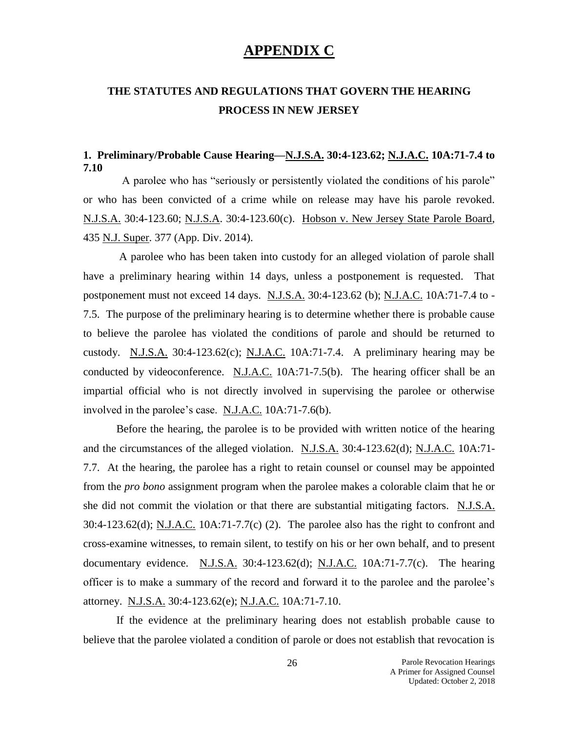### **APPENDIX C**

# **THE STATUTES AND REGULATIONS THAT GOVERN THE HEARING PROCESS IN NEW JERSEY**

### **1. Preliminary/Probable Cause Hearing—N.J.S.A. 30:4-123.62; N.J.A.C. 10A:71-7.4 to 7.10**

 A parolee who has "seriously or persistently violated the conditions of his parole" or who has been convicted of a crime while on release may have his parole revoked. N.J.S.A. 30:4-123.60; N.J.S.A. 30:4-123.60(c). Hobson v. New Jersey State Parole Board, 435 N.J. Super. 377 (App. Div. 2014).

A parolee who has been taken into custody for an alleged violation of parole shall have a preliminary hearing within 14 days, unless a postponement is requested. That postponement must not exceed 14 days. N.J.S.A. 30:4-123.62 (b); N.J.A.C. 10A:71-7.4 to - 7.5. The purpose of the preliminary hearing is to determine whether there is probable cause to believe the parolee has violated the conditions of parole and should be returned to custody. N.J.S.A.  $30:4-123.62(c)$ ; N.J.A.C. 10A:71-7.4. A preliminary hearing may be conducted by videoconference. N.J.A.C. 10A:71-7.5(b). The hearing officer shall be an impartial official who is not directly involved in supervising the parolee or otherwise involved in the parolee's case. N.J.A.C. 10A:71-7.6(b).

Before the hearing, the parolee is to be provided with written notice of the hearing and the circumstances of the alleged violation. N.J.S.A. 30:4-123.62(d); N.J.A.C. 10A:71- 7.7. At the hearing, the parolee has a right to retain counsel or counsel may be appointed from the *pro bono* assignment program when the parolee makes a colorable claim that he or she did not commit the violation or that there are substantial mitigating factors. N.J.S.A. 30:4-123.62(d); N.J.A.C. 10A:71-7.7(c) (2). The parolee also has the right to confront and cross-examine witnesses, to remain silent, to testify on his or her own behalf, and to present documentary evidence. N.J.S.A.  $30:4-123.62(d)$ ; N.J.A.C.  $10A:71-7.7(c)$ . The hearing officer is to make a summary of the record and forward it to the parolee and the parolee's attorney. N.J.S.A. 30:4-123.62(e); N.J.A.C. 10A:71-7.10.

If the evidence at the preliminary hearing does not establish probable cause to believe that the parolee violated a condition of parole or does not establish that revocation is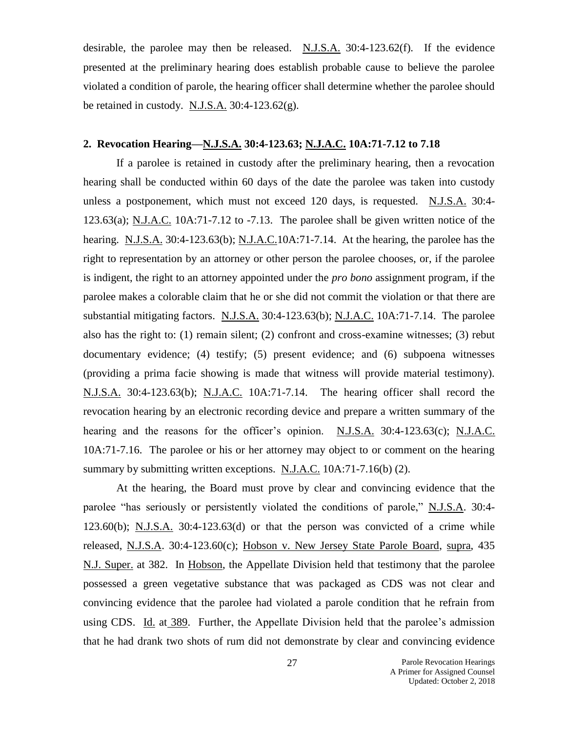desirable, the parolee may then be released. N.J.S.A. 30:4-123.62(f). If the evidence presented at the preliminary hearing does establish probable cause to believe the parolee violated a condition of parole, the hearing officer shall determine whether the parolee should be retained in custody. N.J.S.A.  $30:4-123.62(g)$ .

### **2. Revocation Hearing—N.J.S.A. 30:4-123.63; N.J.A.C. 10A:71-7.12 to 7.18**

If a parolee is retained in custody after the preliminary hearing, then a revocation hearing shall be conducted within 60 days of the date the parolee was taken into custody unless a postponement, which must not exceed 120 days, is requested. N.J.S.A. 30:4- 123.63(a); N.J.A.C. 10A:71-7.12 to -7.13. The parolee shall be given written notice of the hearing. N.J.S.A. 30:4-123.63(b); N.J.A.C.10A:71-7.14. At the hearing, the parolee has the right to representation by an attorney or other person the parolee chooses, or, if the parolee is indigent, the right to an attorney appointed under the *pro bono* assignment program, if the parolee makes a colorable claim that he or she did not commit the violation or that there are substantial mitigating factors. N.J.S.A. 30:4-123.63(b); N.J.A.C. 10A:71-7.14. The parolee also has the right to: (1) remain silent; (2) confront and cross-examine witnesses; (3) rebut documentary evidence; (4) testify; (5) present evidence; and (6) subpoena witnesses (providing a prima facie showing is made that witness will provide material testimony). N.J.S.A. 30:4-123.63(b); N.J.A.C. 10A:71-7.14. The hearing officer shall record the revocation hearing by an electronic recording device and prepare a written summary of the hearing and the reasons for the officer's opinion. N.J.S.A. 30:4-123.63(c); N.J.A.C. 10A:71-7.16. The parolee or his or her attorney may object to or comment on the hearing summary by submitting written exceptions. N.J.A.C. 10A:71-7.16(b) (2).

At the hearing, the Board must prove by clear and convincing evidence that the parolee "has seriously or persistently violated the conditions of parole," N.J.S.A. 30:4- 123.60(b); N.J.S.A. 30:4-123.63(d) or that the person was convicted of a crime while released, N.J.S.A. 30:4-123.60(c); Hobson v. New Jersey State Parole Board, supra, 435 N.J. Super. at 382. In Hobson, the Appellate Division held that testimony that the parolee possessed a green vegetative substance that was packaged as CDS was not clear and convincing evidence that the parolee had violated a parole condition that he refrain from using CDS. Id. at 389. Further, the Appellate Division held that the parolee's admission that he had drank two shots of rum did not demonstrate by clear and convincing evidence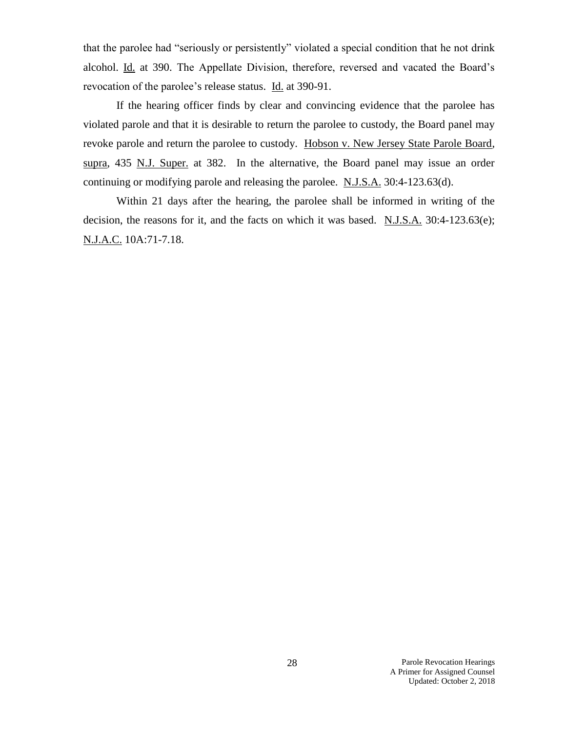that the parolee had "seriously or persistently" violated a special condition that he not drink alcohol. Id. at 390. The Appellate Division, therefore, reversed and vacated the Board's revocation of the parolee's release status. Id. at 390-91.

If the hearing officer finds by clear and convincing evidence that the parolee has violated parole and that it is desirable to return the parolee to custody, the Board panel may revoke parole and return the parolee to custody. Hobson v. New Jersey State Parole Board, supra, 435 N.J. Super. at 382. In the alternative, the Board panel may issue an order continuing or modifying parole and releasing the parolee. N.J.S.A. 30:4-123.63(d).

Within 21 days after the hearing, the parolee shall be informed in writing of the decision, the reasons for it, and the facts on which it was based.  $N.J.S.A.$  30:4-123.63(e); N.J.A.C. 10A:71-7.18.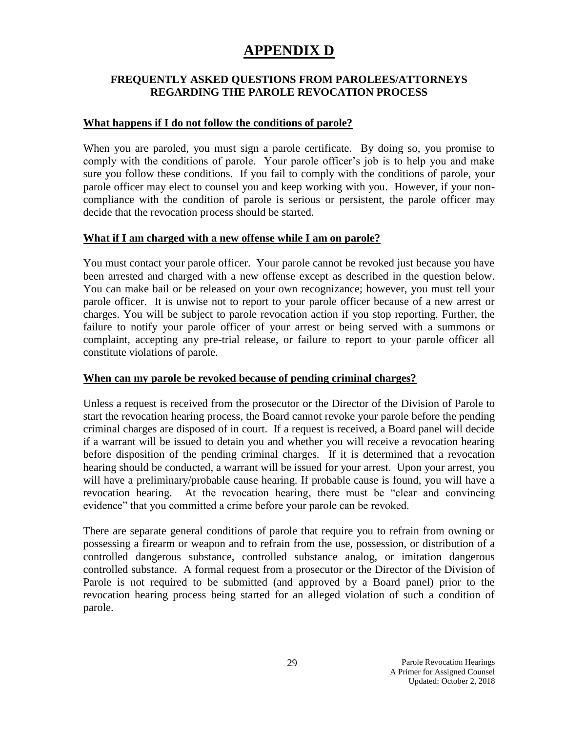# **APPENDIX D**

### **FREQUENTLY ASKED QUESTIONS FROM PAROLEES/ATTORNEYS REGARDING THE PAROLE REVOCATION PROCESS**

### **What happens if I do not follow the conditions of parole?**

When you are paroled, you must sign a parole certificate. By doing so, you promise to comply with the conditions of parole. Your parole officer's job is to help you and make sure you follow these conditions. If you fail to comply with the conditions of parole, your parole officer may elect to counsel you and keep working with you. However, if your noncompliance with the condition of parole is serious or persistent, the parole officer may decide that the revocation process should be started.

### **What if I am charged with a new offense while I am on parole?**

You must contact your parole officer. Your parole cannot be revoked just because you have been arrested and charged with a new offense except as described in the question below. You can make bail or be released on your own recognizance; however, you must tell your parole officer. It is unwise not to report to your parole officer because of a new arrest or charges. You will be subject to parole revocation action if you stop reporting. Further, the failure to notify your parole officer of your arrest or being served with a summons or complaint, accepting any pre-trial release, or failure to report to your parole officer all constitute violations of parole.

### **When can my parole be revoked because of pending criminal charges?**

Unless a request is received from the prosecutor or the Director of the Division of Parole to start the revocation hearing process, the Board cannot revoke your parole before the pending criminal charges are disposed of in court. If a request is received, a Board panel will decide if a warrant will be issued to detain you and whether you will receive a revocation hearing before disposition of the pending criminal charges. If it is determined that a revocation hearing should be conducted, a warrant will be issued for your arrest. Upon your arrest, you will have a preliminary/probable cause hearing. If probable cause is found, you will have a revocation hearing. At the revocation hearing, there must be "clear and convincing evidence" that you committed a crime before your parole can be revoked.

There are separate general conditions of parole that require you to refrain from owning or possessing a firearm or weapon and to refrain from the use, possession, or distribution of a controlled dangerous substance, controlled substance analog, or imitation dangerous controlled substance. A formal request from a prosecutor or the Director of the Division of Parole is not required to be submitted (and approved by a Board panel) prior to the revocation hearing process being started for an alleged violation of such a condition of parole.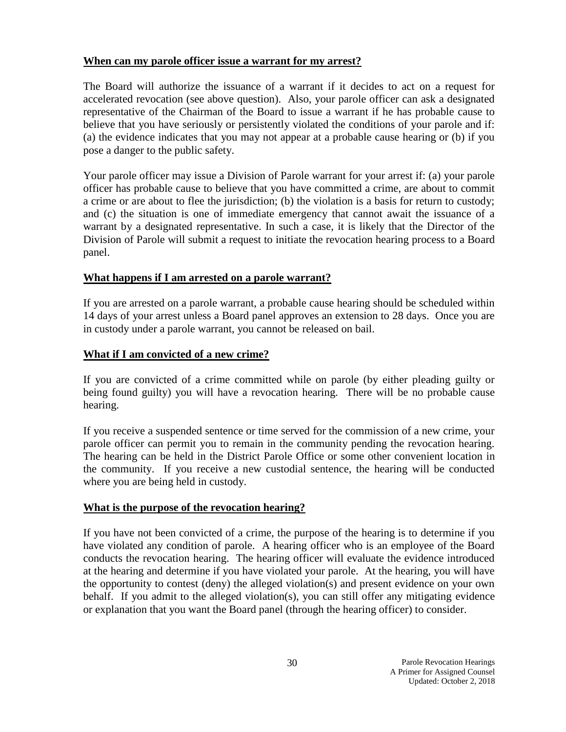### **When can my parole officer issue a warrant for my arrest?**

The Board will authorize the issuance of a warrant if it decides to act on a request for accelerated revocation (see above question). Also, your parole officer can ask a designated representative of the Chairman of the Board to issue a warrant if he has probable cause to believe that you have seriously or persistently violated the conditions of your parole and if: (a) the evidence indicates that you may not appear at a probable cause hearing or (b) if you pose a danger to the public safety.

Your parole officer may issue a Division of Parole warrant for your arrest if: (a) your parole officer has probable cause to believe that you have committed a crime, are about to commit a crime or are about to flee the jurisdiction; (b) the violation is a basis for return to custody; and (c) the situation is one of immediate emergency that cannot await the issuance of a warrant by a designated representative. In such a case, it is likely that the Director of the Division of Parole will submit a request to initiate the revocation hearing process to a Board panel.

### **What happens if I am arrested on a parole warrant?**

If you are arrested on a parole warrant, a probable cause hearing should be scheduled within 14 days of your arrest unless a Board panel approves an extension to 28 days. Once you are in custody under a parole warrant, you cannot be released on bail.

### **What if I am convicted of a new crime?**

If you are convicted of a crime committed while on parole (by either pleading guilty or being found guilty) you will have a revocation hearing. There will be no probable cause hearing.

If you receive a suspended sentence or time served for the commission of a new crime, your parole officer can permit you to remain in the community pending the revocation hearing. The hearing can be held in the District Parole Office or some other convenient location in the community. If you receive a new custodial sentence, the hearing will be conducted where you are being held in custody.

### **What is the purpose of the revocation hearing?**

If you have not been convicted of a crime, the purpose of the hearing is to determine if you have violated any condition of parole. A hearing officer who is an employee of the Board conducts the revocation hearing. The hearing officer will evaluate the evidence introduced at the hearing and determine if you have violated your parole. At the hearing, you will have the opportunity to contest (deny) the alleged violation(s) and present evidence on your own behalf. If you admit to the alleged violation(s), you can still offer any mitigating evidence or explanation that you want the Board panel (through the hearing officer) to consider.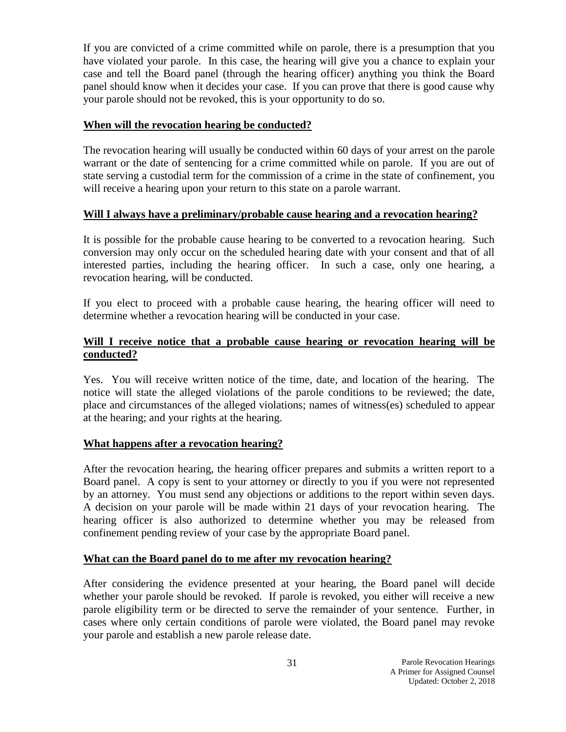If you are convicted of a crime committed while on parole, there is a presumption that you have violated your parole. In this case, the hearing will give you a chance to explain your case and tell the Board panel (through the hearing officer) anything you think the Board panel should know when it decides your case. If you can prove that there is good cause why your parole should not be revoked, this is your opportunity to do so.

### **When will the revocation hearing be conducted?**

The revocation hearing will usually be conducted within 60 days of your arrest on the parole warrant or the date of sentencing for a crime committed while on parole. If you are out of state serving a custodial term for the commission of a crime in the state of confinement, you will receive a hearing upon your return to this state on a parole warrant.

### **Will I always have a preliminary/probable cause hearing and a revocation hearing?**

It is possible for the probable cause hearing to be converted to a revocation hearing. Such conversion may only occur on the scheduled hearing date with your consent and that of all interested parties, including the hearing officer. In such a case, only one hearing, a revocation hearing, will be conducted.

If you elect to proceed with a probable cause hearing, the hearing officer will need to determine whether a revocation hearing will be conducted in your case.

### **Will I receive notice that a probable cause hearing or revocation hearing will be conducted?**

Yes. You will receive written notice of the time, date, and location of the hearing. The notice will state the alleged violations of the parole conditions to be reviewed; the date, place and circumstances of the alleged violations; names of witness(es) scheduled to appear at the hearing; and your rights at the hearing.

### **What happens after a revocation hearing?**

After the revocation hearing, the hearing officer prepares and submits a written report to a Board panel. A copy is sent to your attorney or directly to you if you were not represented by an attorney. You must send any objections or additions to the report within seven days. A decision on your parole will be made within 21 days of your revocation hearing. The hearing officer is also authorized to determine whether you may be released from confinement pending review of your case by the appropriate Board panel.

### **What can the Board panel do to me after my revocation hearing?**

After considering the evidence presented at your hearing, the Board panel will decide whether your parole should be revoked. If parole is revoked, you either will receive a new parole eligibility term or be directed to serve the remainder of your sentence. Further, in cases where only certain conditions of parole were violated, the Board panel may revoke your parole and establish a new parole release date.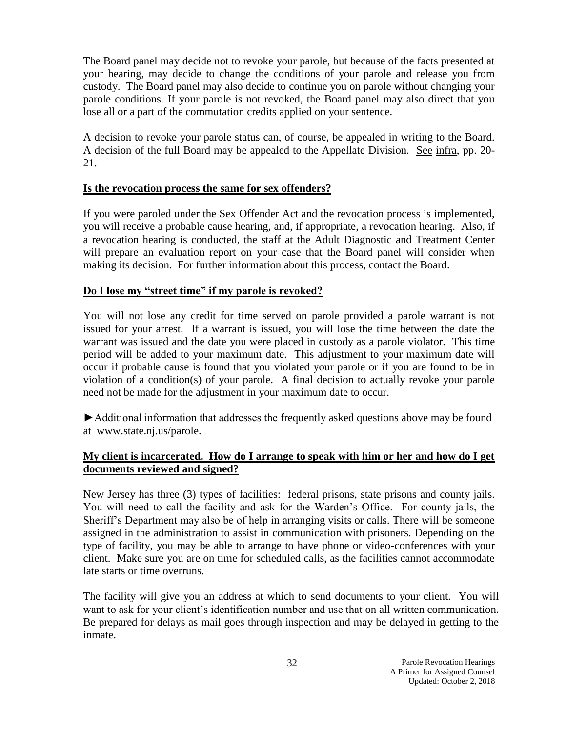The Board panel may decide not to revoke your parole, but because of the facts presented at your hearing, may decide to change the conditions of your parole and release you from custody. The Board panel may also decide to continue you on parole without changing your parole conditions. If your parole is not revoked, the Board panel may also direct that you lose all or a part of the commutation credits applied on your sentence.

A decision to revoke your parole status can, of course, be appealed in writing to the Board. A decision of the full Board may be appealed to the Appellate Division. See infra, pp. 20- 21.

### **Is the revocation process the same for sex offenders?**

If you were paroled under the Sex Offender Act and the revocation process is implemented, you will receive a probable cause hearing, and, if appropriate, a revocation hearing. Also, if a revocation hearing is conducted, the staff at the Adult Diagnostic and Treatment Center will prepare an evaluation report on your case that the Board panel will consider when making its decision. For further information about this process, contact the Board.

### **Do I lose my "street time" if my parole is revoked?**

You will not lose any credit for time served on parole provided a parole warrant is not issued for your arrest. If a warrant is issued, you will lose the time between the date the warrant was issued and the date you were placed in custody as a parole violator. This time period will be added to your maximum date. This adjustment to your maximum date will occur if probable cause is found that you violated your parole or if you are found to be in violation of a condition(s) of your parole. A final decision to actually revoke your parole need not be made for the adjustment in your maximum date to occur.

►Additional information that addresses the frequently asked questions above may be found at [www.state.nj.us/parole.](http://www.state.nj.us/parole)

### **My client is incarcerated. How do I arrange to speak with him or her and how do I get documents reviewed and signed?**

New Jersey has three (3) types of facilities: federal prisons, state prisons and county jails. You will need to call the facility and ask for the Warden's Office. For county jails, the Sheriff's Department may also be of help in arranging visits or calls. There will be someone assigned in the administration to assist in communication with prisoners. Depending on the type of facility, you may be able to arrange to have phone or video-conferences with your client. Make sure you are on time for scheduled calls, as the facilities cannot accommodate late starts or time overruns.

The facility will give you an address at which to send documents to your client. You will want to ask for your client's identification number and use that on all written communication. Be prepared for delays as mail goes through inspection and may be delayed in getting to the inmate.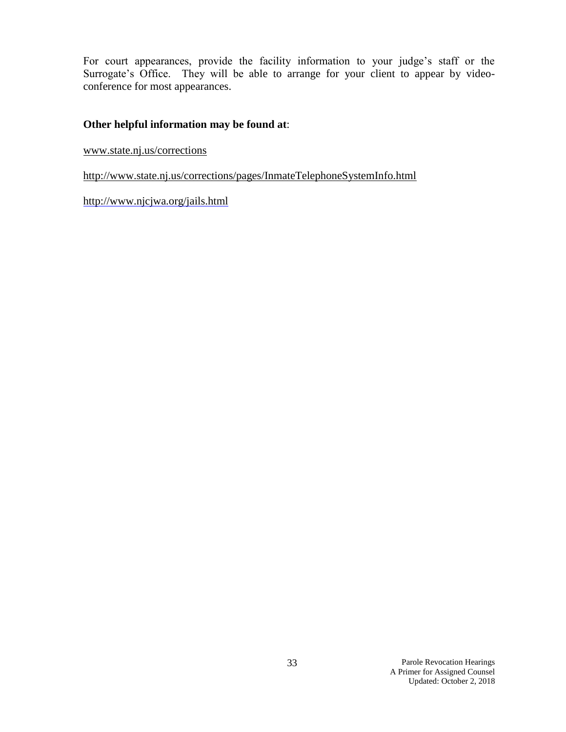For court appearances, provide the facility information to your judge's staff or the Surrogate's Office. They will be able to arrange for your client to appear by videoconference for most appearances.

### **Other helpful information may be found at**:

[www.state.nj.us/corrections](http://www.state.nj.us/corrections)

<http://www.state.nj.us/corrections/pages/InmateTelephoneSystemInfo.html>

<http://www.njcjwa.org/jails.html>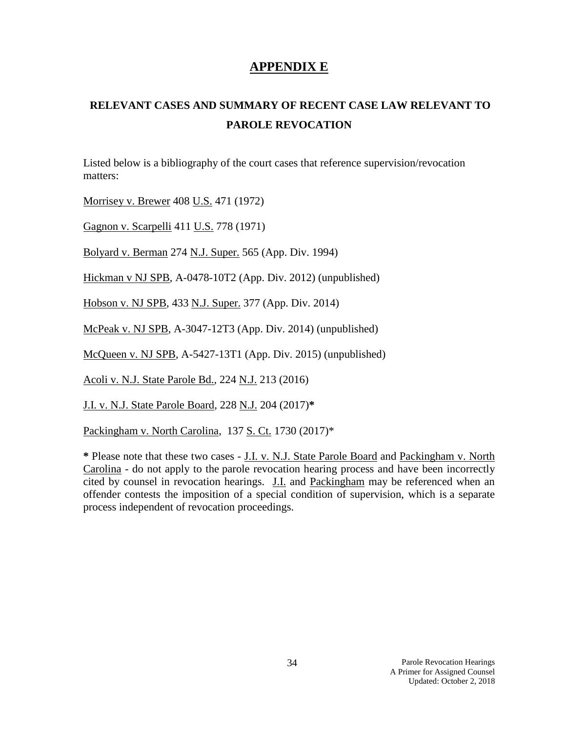# **APPENDIX E**

# **RELEVANT CASES AND SUMMARY OF RECENT CASE LAW RELEVANT TO PAROLE REVOCATION**

Listed below is a bibliography of the court cases that reference supervision/revocation matters:

Morrisey v. Brewer 408 U.S. 471 (1972)

Gagnon v. Scarpelli 411 U.S. 778 (1971)

Bolyard v. Berman 274 N.J. Super. 565 (App. Div. 1994)

Hickman v NJ SPB, A-0478-10T2 (App. Div. 2012) (unpublished)

Hobson v. NJ SPB, 433 N.J. Super. 377 (App. Div. 2014)

McPeak v. NJ SPB, A-3047-12T3 (App. Div. 2014) (unpublished)

McQueen v. NJ SPB, A-5427-13T1 (App. Div. 2015) (unpublished)

Acoli v. N.J. State Parole Bd., 224 N.J. 213 (2016)

J.I. v. N.J. State Parole Board, 228 N.J. 204 (2017)**\***

Packingham v. North Carolina, 137 S. Ct. 1730 (2017)\*

**\*** Please note that these two cases - J.I. v. N.J. State Parole Board and Packingham v. North Carolina - do not apply to the parole revocation hearing process and have been incorrectly cited by counsel in revocation hearings. J.I. and Packingham may be referenced when an offender contests the imposition of a special condition of supervision, which is a separate process independent of revocation proceedings.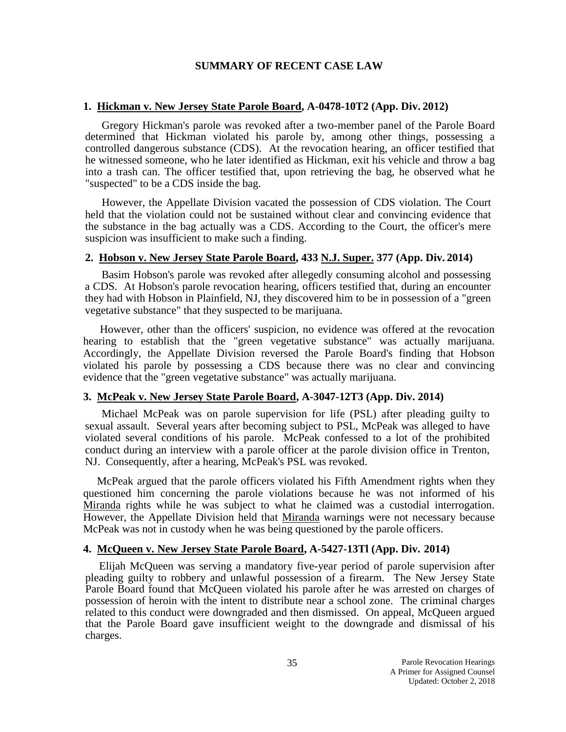### **SUMMARY OF RECENT CASE LAW**

### **1. Hickman v. New Jersey State Parole Board, A-0478-10T2 (App. Div. 2012)**

Gregory Hickman's parole was revoked after a two-member panel of the Parole Board determined that Hickman violated his parole by, among other things, possessing a controlled dangerous substance (CDS). At the revocation hearing, an officer testified that he witnessed someone, who he later identified as Hickman, exit his vehicle and throw a bag into a trash can. The officer testified that, upon retrieving the bag, he observed what he "suspected" to be a CDS inside the bag.

 However, the Appellate Division vacated the possession of CDS violation. The Court held that the violation could not be sustained without clear and convincing evidence that the substance in the bag actually was a CDS. According to the Court, the officer's mere suspicion was insufficient to make such a finding.

#### **2. Hobson v. New Jersey State Parole Board, 433 N.J. Super. 377 (App. Div. 2014)**

Basim Hobson's parole was revoked after allegedly consuming alcohol and possessing a CDS. At Hobson's parole revocation hearing, officers testified that, during an encounter they had with Hobson in Plainfield, NJ, they discovered him to be in possession of a "green vegetative substance" that they suspected to be marijuana.

However, other than the officers' suspicion, no evidence was offered at the revocation hearing to establish that the "green vegetative substance" was actually marijuana. Accordingly, the Appellate Division reversed the Parole Board's finding that Hobson violated his parole by possessing a CDS because there was no clear and convincing evidence that the "green vegetative substance" was actually marijuana.

### **3. McPeak v. New Jersey State Parole Board, A-3047-12T3 (App. Div. 2014)**

Michael McPeak was on parole supervision for life (PSL) after pleading guilty to sexual assault. Several years after becoming subject to PSL, McPeak was alleged to have violated several conditions of his parole. McPeak confessed to a lot of the prohibited conduct during an interview with a parole officer at the parole division office in Trenton, NJ. Consequently, after a hearing, McPeak's PSL was revoked.

 McPeak argued that the parole officers violated his Fifth Amendment rights when they questioned him concerning the parole violations because he was not informed of his Miranda rights while he was subject to what he claimed was a custodial interrogation. However, the Appellate Division held that Miranda warnings were not necessary because McPeak was not in custody when he was being questioned by the parole officers.

### **4. McQueen v. New Jersey State Parole Board, A-5427-13Tl (App. Div. 2014)**

Elijah McQueen was serving a mandatory five-year period of parole supervision after pleading guilty to robbery and unlawful possession of a firearm. The New Jersey State Parole Board found that McQueen violated his parole after he was arrested on charges of possession of heroin with the intent to distribute near a school zone. The criminal charges related to this conduct were downgraded and then dismissed. On appeal, McQueen argued that the Parole Board gave insufficient weight to the downgrade and dismissal of his charges.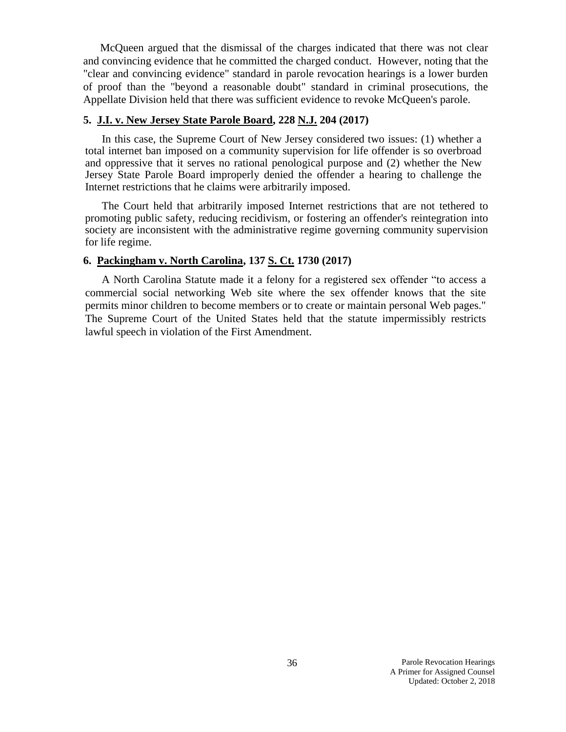McQueen argued that the dismissal of the charges indicated that there was not clear and convincing evidence that he committed the charged conduct. However, noting that the "clear and convincing evidence" standard in parole revocation hearings is a lower burden of proof than the "beyond a reasonable doubt" standard in criminal prosecutions, the Appellate Division held that there was sufficient evidence to revoke McQueen's parole.

### **5. J.I. v. New Jersey State Parole Board, 228 N.J. 204 (2017)**

In this case, the Supreme Court of New Jersey considered two issues: (1) whether a total internet ban imposed on a community supervision for life offender is so overbroad and oppressive that it serves no rational penological purpose and (2) whether the New Jersey State Parole Board improperly denied the offender a hearing to challenge the Internet restrictions that he claims were arbitrarily imposed.

The Court held that arbitrarily imposed Internet restrictions that are not tethered to promoting public safety, reducing recidivism, or fostering an offender's reintegration into society are inconsistent with the administrative regime governing community supervision for life regime.

### **6. Packingham v. North Carolina, 137 S. Ct. 1730 (2017)**

A North Carolina Statute made it a felony for a registered sex offender "to access a commercial social networking Web site where the sex offender knows that the site permits minor children to become members or to create or maintain personal Web pages." The Supreme Court of the United States held that the statute impermissibly restricts lawful speech in violation of the First Amendment.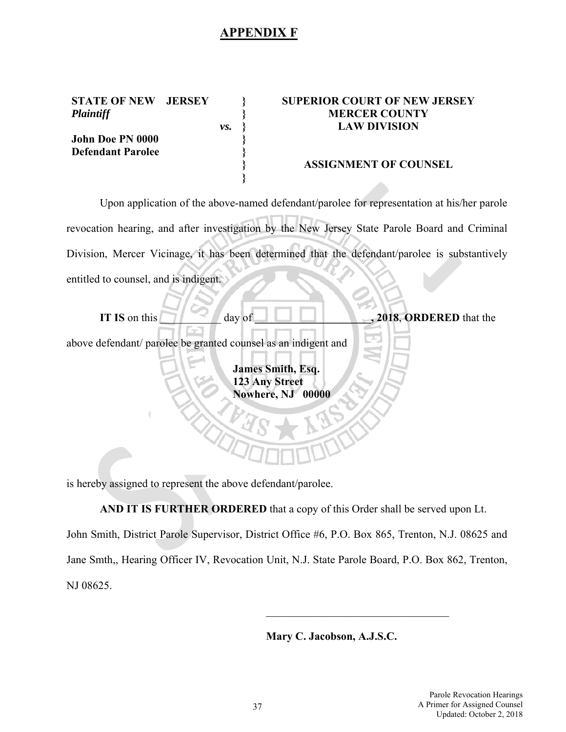### **APPENDIX F**

*vs.* 

**} } } } } } }**

**STATE OF NEW JERSEY**  *Plaintiff* 

**Defendant Parolee** 

**John Doe PN 0000** 

### **SUPERIOR COURT OF NEW JERSEY MERCER COUNTY LAW DIVISION**

### **ASSIGNMENT OF COUNSEL**

Upon application of the above-named defendant/parolee for representation at his/her parole revocation hearing, and after investigation by the New Jersey State Parole Board and Criminal Division, Mercer Vicinage, it has been determined that the defendant/parolee is substantively entitled to counsel, and is indigent.

| IT IS on this | day of                                                           | , 2018, ORDERED that the |
|---------------|------------------------------------------------------------------|--------------------------|
|               | above defendant/ parolee be granted counsel as an indigent and   |                          |
|               | <b>James Smith, Esq.</b><br>123 Any Street<br><b>Nowhere, NJ</b> | 00000                    |

is hereby assigned to represent the above defendant/parolee.

**AND IT IS FURTHER ORDERED** that a copy of this Order shall be served upon Lt.

John Smith, District Parole Supervisor, District Office #6, P.O. Box 865, Trenton, N.J. 08625 and Jane Smth,, Hearing Officer IV, Revocation Unit, N.J. State Parole Board, P.O. Box 862, Trenton, NJ 08625.

**Mary C. Jacobson, A.J.S.C.**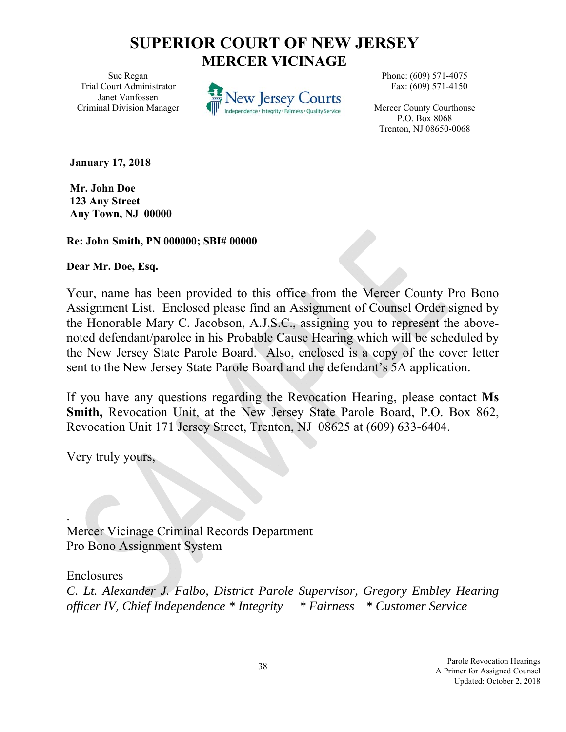# **SUPERIOR COURT OF NEW JERSEY MERCER VICINAGE**

Sue Regan Trial Court Administrator Janet Vanfossen Criminal Division Manager



Phone: (609) 571-4075 Fax: (609) 571-4150

Mercer County Courthouse P.O. Box 8068 Trenton, NJ 08650-0068

**January 17, 2018** 

**Mr. John Doe 123 Any Street Any Town, NJ 00000** 

**Re: John Smith, PN 000000; SBI# 00000** 

**Dear Mr. Doe, Esq.** 

Your, name has been provided to this office from the Mercer County Pro Bono Assignment List. Enclosed please find an Assignment of Counsel Order signed by the Honorable Mary C. Jacobson, A.J.S.C., assigning you to represent the abovenoted defendant/parolee in his Probable Cause Hearing which will be scheduled by the New Jersey State Parole Board. Also, enclosed is a copy of the cover letter sent to the New Jersey State Parole Board and the defendant's 5A application.

If you have any questions regarding the Revocation Hearing, please contact **Ms Smith,** Revocation Unit, at the New Jersey State Parole Board, P.O. Box 862, Revocation Unit 171 Jersey Street, Trenton, NJ 08625 at (609) 633-6404.

Very truly yours,

Mercer Vicinage Criminal Records Department Pro Bono Assignment System

Enclosures

.

*C. Lt. Alexander J. Falbo, District Parole Supervisor, Gregory Embley Hearing officer IV, Chief Independence \* Integrity \* Fairness \* Customer Service*